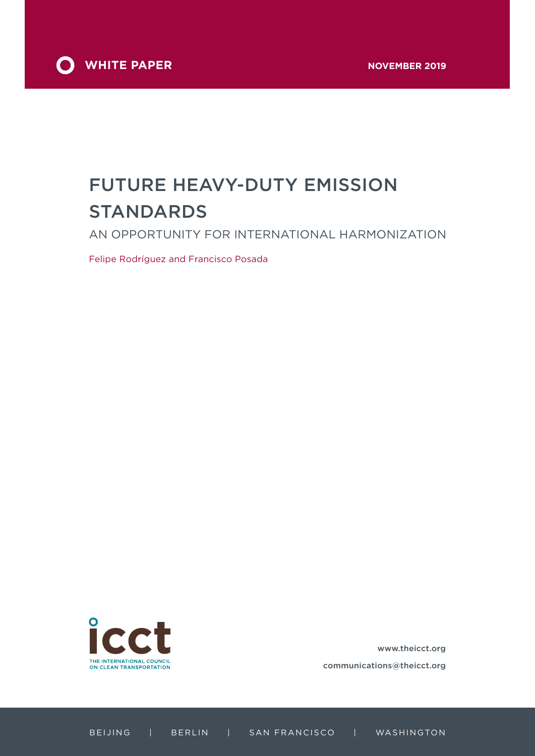

# FUTURE HEAVY-DUTY EMISSION STANDARDS

AN OPPORTUNITY FOR INTERNATIONAL HARMONIZATION

Felipe Rodríguez and Francisco Posada



www.theicct.org communications@theicct.org

BEIJING | BERLIN | SAN FRANCISCO | WASHINGTON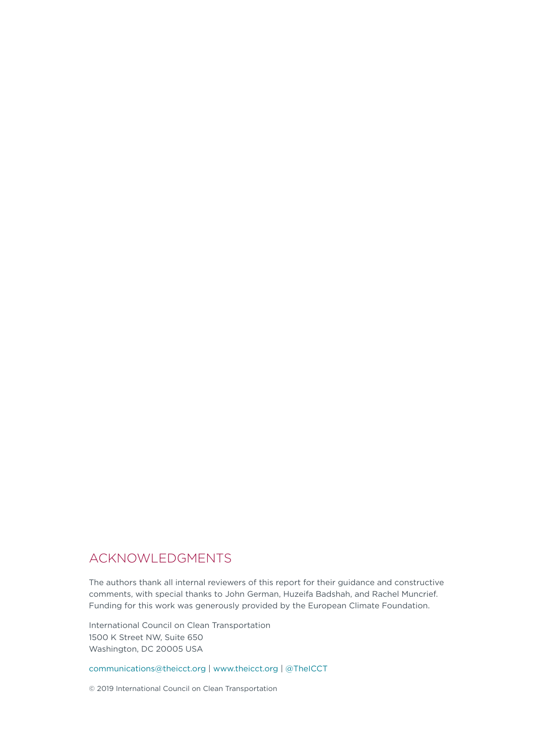## ACKNOWLEDGMENTS

The authors thank all internal reviewers of this report for their guidance and constructive comments, with special thanks to John German, Huzeifa Badshah, and Rachel Muncrief. Funding for this work was generously provided by the European Climate Foundation.

International Council on Clean Transportation 1500 K Street NW, Suite 650 Washington, DC 20005 USA

communications@theicct.org | www.theicct.org | @TheICCT

© 2019 International Council on Clean Transportation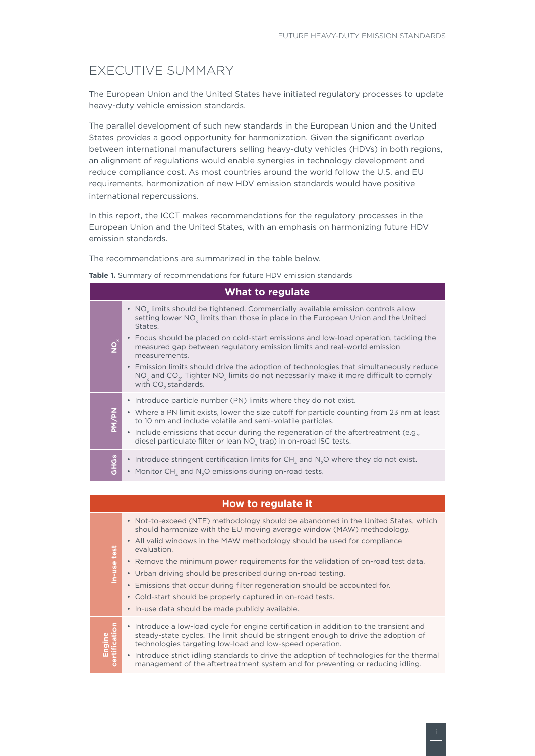## <span id="page-2-0"></span>EXECUTIVE SUMMARY

The European Union and the United States have initiated regulatory processes to update heavy-duty vehicle emission standards.

The parallel development of such new standards in the European Union and the United States provides a good opportunity for harmonization. Given the significant overlap between international manufacturers selling heavy-duty vehicles (HDVs) in both regions, an alignment of regulations would enable synergies in technology development and reduce compliance cost. As most countries around the world follow the U.S. and EU requirements, harmonization of new HDV emission standards would have positive international repercussions.

In this report, the ICCT makes recommendations for the regulatory processes in the European Union and the United States, with an emphasis on harmonizing future HDV emission standards.

The recommendations are summarized in the table below.

**Table 1.** Summary of recommendations for future HDV emission standards

| <b>What to regulate</b> |                                                                                                                                                                                                                                                                                                 |  |  |  |  |  |
|-------------------------|-------------------------------------------------------------------------------------------------------------------------------------------------------------------------------------------------------------------------------------------------------------------------------------------------|--|--|--|--|--|
|                         | • NO <sub>v</sub> limits should be tightened. Commercially available emission controls allow<br>setting lower NO <sub>y</sub> limits than those in place in the European Union and the United<br>States.<br>Focus should be placed on cold-start emissions and low-load operation, tackling the |  |  |  |  |  |
| $\overline{Q}^*$        | measured gap between regulatory emission limits and real-world emission<br>measurements.                                                                                                                                                                                                        |  |  |  |  |  |
|                         | • Emission limits should drive the adoption of technologies that simultaneously reduce<br>NO <sub>v</sub> and CO <sub>2</sub> . Tighter NO <sub>v</sub> limits do not necessarily make it more difficult to comply<br>with CO <sub>2</sub> standards.                                           |  |  |  |  |  |
|                         | • Introduce particle number (PN) limits where they do not exist.                                                                                                                                                                                                                                |  |  |  |  |  |
| PM/PN                   | • Where a PN limit exists, lower the size cutoff for particle counting from 23 nm at least<br>to 10 nm and include volatile and semi-volatile particles.                                                                                                                                        |  |  |  |  |  |
|                         | • Include emissions that occur during the regeneration of the aftertreatment (e.g.,<br>diesel particulate filter or lean NO <sub>v</sub> trap) in on-road ISC tests.                                                                                                                            |  |  |  |  |  |
| <b>SPHOS</b>            | • Introduce stringent certification limits for $CH4$ and $N2O$ where they do not exist.<br>• Monitor $CH_4$ and $N_2O$ emissions during on-road tests.                                                                                                                                          |  |  |  |  |  |
|                         |                                                                                                                                                                                                                                                                                                 |  |  |  |  |  |
|                         | How to regulate it                                                                                                                                                                                                                                                                              |  |  |  |  |  |
|                         | • Not-to-exceed (NTE) methodology should be abandoned in the United States, which<br>should harmonize with the EU moving average window (MAW) methodology.                                                                                                                                      |  |  |  |  |  |
|                         | • All valid windows in the MAW methodology should be used for compliance<br>evaluation.                                                                                                                                                                                                         |  |  |  |  |  |
| In-use test             | Remove the minimum power requirements for the validation of on-road test data.                                                                                                                                                                                                                  |  |  |  |  |  |
|                         | • Urban driving should be prescribed during on-road testing.                                                                                                                                                                                                                                    |  |  |  |  |  |
|                         | • Emissions that occur during filter regeneration should be accounted for.                                                                                                                                                                                                                      |  |  |  |  |  |
|                         | · Cold-start should be properly captured in on-road tests.                                                                                                                                                                                                                                      |  |  |  |  |  |

• In-use data should be made publicly available.

| 1 S.<br>ngine<br>ificatic | • Introduce a low-load cycle for engine certification in addition to the transient and<br>steady-state cycles. The limit should be stringent enough to drive the adoption of<br>technologies targeting low-load and low-speed operation. |
|---------------------------|------------------------------------------------------------------------------------------------------------------------------------------------------------------------------------------------------------------------------------------|
|                           | • Introduce strict idling standards to drive the adoption of technologies for the thern<br>management of the aftertreatment system and for preventing or reducing idling.                                                                |

• Introduce strict idling standards to drive the adoption of technologies for the thermal management of the aftertreatment system and for preventing or reducing idling.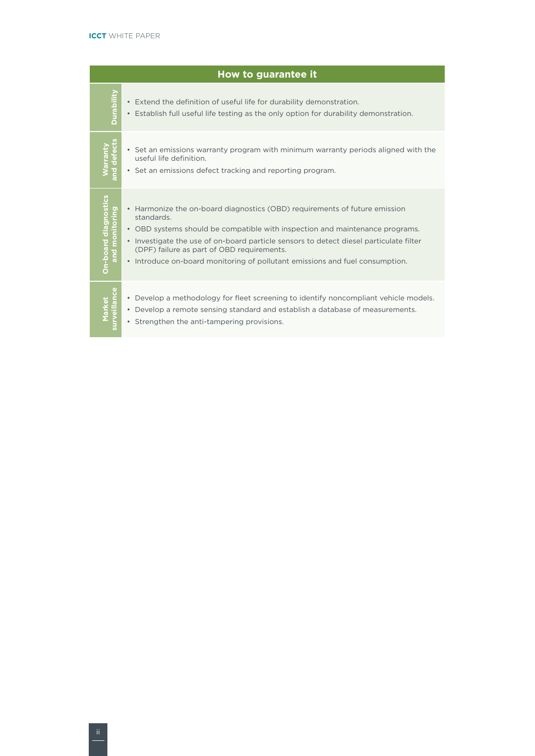|                                        | How to guarantee it                                                                                                                                                                                                                                                                                                                                                                                       |  |  |  |  |  |
|----------------------------------------|-----------------------------------------------------------------------------------------------------------------------------------------------------------------------------------------------------------------------------------------------------------------------------------------------------------------------------------------------------------------------------------------------------------|--|--|--|--|--|
| Durability                             | Extend the definition of useful life for durability demonstration.<br>$\bullet$<br>Establish full useful life testing as the only option for durability demonstration.                                                                                                                                                                                                                                    |  |  |  |  |  |
| rant<br>efec<br>and                    | • Set an emissions warranty program with minimum warranty periods aligned with the<br>useful life definition.<br>• Set an emissions defect tracking and reporting program.                                                                                                                                                                                                                                |  |  |  |  |  |
| On-board diagnostics<br>and monitoring | Harmonize the on-board diagnostics (OBD) requirements of future emission<br>$\bullet$<br>standards.<br>OBD systems should be compatible with inspection and maintenance programs.<br>• Investigate the use of on-board particle sensors to detect diesel particulate filter<br>(DPF) failure as part of OBD requirements.<br>• Introduce on-board monitoring of pollutant emissions and fuel consumption. |  |  |  |  |  |
|                                        | Develop a methodology for fleet screening to identify noncompliant vehicle models.<br>$\bullet$<br>Develop a remote sensing standard and establish a database of measurements.<br>$\bullet$<br>• Strengthen the anti-tampering provisions.                                                                                                                                                                |  |  |  |  |  |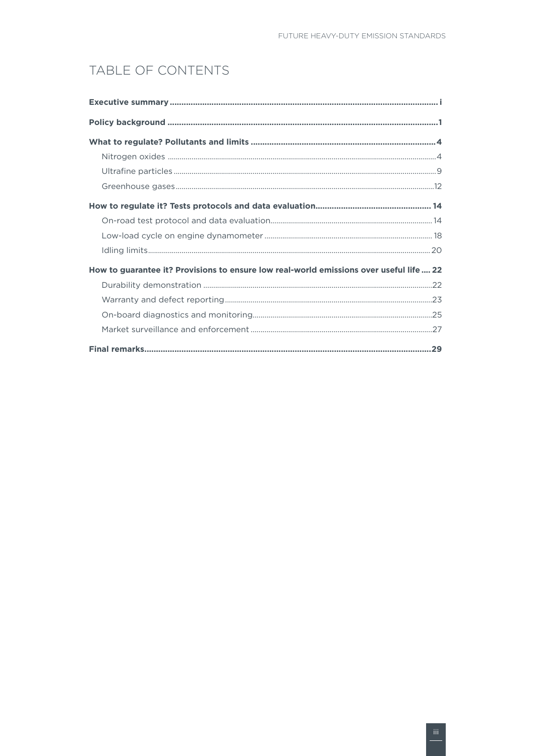## TABLE OF CONTENTS

| How to guarantee it? Provisions to ensure low real-world emissions over useful life  22 |  |  |  |  |
|-----------------------------------------------------------------------------------------|--|--|--|--|
|                                                                                         |  |  |  |  |
|                                                                                         |  |  |  |  |
|                                                                                         |  |  |  |  |
|                                                                                         |  |  |  |  |
|                                                                                         |  |  |  |  |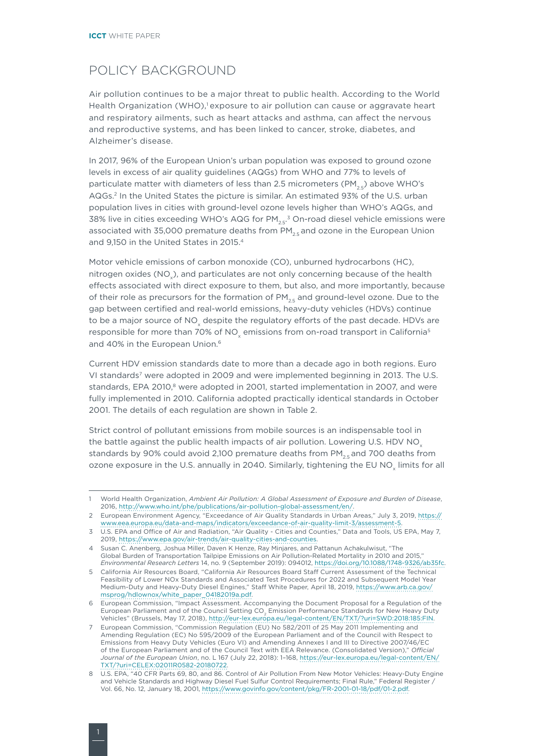## <span id="page-5-0"></span>POLICY BACKGROUND

Air pollution continues to be a major threat to public health. According to the World Health Organization (WHO),<sup>1</sup> exposure to air pollution can cause or aggravate heart and respiratory ailments, such as heart attacks and asthma, can affect the nervous and reproductive systems, and has been linked to cancer, stroke, diabetes, and Alzheimer's disease.

In 2017, 96% of the European Union's urban population was exposed to ground ozone levels in excess of air quality guidelines (AQGs) from WHO and 77% to levels of particulate matter with diameters of less than 2.5 micrometers (PM<sub>25</sub>) above WHO's AQGs.2 In the United States the picture is similar. An estimated 93% of the U.S. urban population lives in cities with ground-level ozone levels higher than WHO's AQGs, and 38% live in cities exceeding WHO's AQG for PM $_{\rm 2.5}$ . $^{\rm 3}$  On-road diesel vehicle emissions were associated with 35,000 premature deaths from  $PM_{25}$  and ozone in the European Union and 9,150 in the United States in 2015.4

Motor vehicle emissions of carbon monoxide (CO), unburned hydrocarbons (HC), nitrogen oxides (NO<sub>x</sub>), and particulates are not only concerning because of the health effects associated with direct exposure to them, but also, and more importantly, because of their role as precursors for the formation of  $PM_{2.5}$  and ground-level ozone. Due to the gap between certified and real-world emissions, heavy-duty vehicles (HDVs) continue to be a major source of NO<sub>x</sub> despite the regulatory efforts of the past decade. HDVs are responsible for more than 70% of NO<sub>v</sub> emissions from on-road transport in California<sup>5</sup> and 40% in the European Union.<sup>6</sup>

Current HDV emission standards date to more than a decade ago in both regions. Euro VI standards7 were adopted in 2009 and were implemented beginning in 2013. The U.S. standards, EPA 2010,<sup>8</sup> were adopted in 2001, started implementation in 2007, and were fully implemented in 2010. California adopted practically identical standards in October 2001. The details of each regulation are shown in Table 2.

Strict control of pollutant emissions from mobile sources is an indispensable tool in the battle against the public health impacts of air pollution. Lowering U.S. HDV NO<sub>v</sub> standards by 90% could avoid 2,100 premature deaths from  $PM_{2.5}$  and 700 deaths from ozone exposure in the U.S. annually in 2040. Similarly, tightening the EU NO<sub>y</sub> limits for all

<sup>1</sup> World Health Organization, *Ambient Air Pollution: A Global Assessment of Exposure and Burden of Disease*, 2016, [http://www.who.int/phe/publications/air-pollution-global-assessment/en/.](http://www.who.int/phe/publications/air-pollution-global-assessment/en/)

<sup>2</sup> European Environment Agency, "Exceedance of Air Quality Standards in Urban Areas," July 3, 2019, [https://](https://www.eea.europa.eu/data-and-maps/indicators/exceedance-of-air-quality-limit-3/assessment-5) [www.eea.europa.eu/data-and-maps/indicators/exceedance-of-air-quality-limit-3/assessment-5](https://www.eea.europa.eu/data-and-maps/indicators/exceedance-of-air-quality-limit-3/assessment-5).

<sup>3</sup> U.S. EPA and Office of Air and Radiation, "Air Quality - Cities and Counties," Data and Tools, US EPA, May 7, 2019,<https://www.epa.gov/air-trends/air-quality-cities-and-counties>.

<sup>4</sup> Susan C. Anenberg, Joshua Miller, Daven K Henze, Ray Minjares, and Pattanun Achakulwisut, "The Global Burden of Transportation Tailpipe Emissions on Air Pollution-Related Mortality in 2010 and 2015," *Environmental Research Letters* 14, no. 9 (September 2019): 094012, [https://doi.org/10.1088/1748-9326/ab35fc.](https://doi.org/10.1088/1748-9326/ab35fc)

<sup>5</sup> California Air Resources Board, "California Air Resources Board Staff Current Assessment of the Technical Feasibility of Lower NOx Standards and Associated Test Procedures for 2022 and Subsequent Model Year Medium-Duty and Heavy-Duty Diesel Engines," Staff White Paper, April 18, 2019, [https://www.arb.ca.gov/](https://www.arb.ca.gov/msprog/hdlownox/white_paper_04182019a.pdf) [msprog/hdlownox/white\\_paper\\_04182019a.pdf.](https://www.arb.ca.gov/msprog/hdlownox/white_paper_04182019a.pdf)

<sup>6</sup> European Commission, "Impact Assessment. Accompanying the Document Proposal for a Regulation of the European Parliament and of the Council Setting CO<sub>2</sub> Emission Performance Standards for New Heavy Duty Vehicles" (Brussels, May 17, 2018), <http://eur-lex.europa.eu/legal-content/EN/TXT/?uri=SWD:2018:185:FIN>.

<sup>7</sup> European Commission, "Commission Regulation (EU) No 582/2011 of 25 May 2011 Implementing and Amending Regulation (EC) No 595/2009 of the European Parliament and of the Council with Respect to Emissions from Heavy Duty Vehicles (Euro VI) and Amending Annexes I and III to Directive 2007/46/EC of the European Parliament and of the Council Text with EEA Relevance. (Consolidated Version)," *Official Journal of the European Union*, no. L 167 (July 22, 2018): 1–168, [https://eur-lex.europa.eu/legal-content/EN/](https://eur-lex.europa.eu/legal-content/EN/TXT/?uri=CELEX:02011R0582-20180722) [TXT/?uri=CELEX:02011R0582-20180722](https://eur-lex.europa.eu/legal-content/EN/TXT/?uri=CELEX:02011R0582-20180722).

<sup>8</sup> U.S. EPA, "40 CFR Parts 69, 80, and 86. Control of Air Pollution From New Motor Vehicles: Heavy-Duty Engine and Vehicle Standards and Highway Diesel Fuel Sulfur Control Requirements; Final Rule," Federal Register / Vol. 66, No. 12, January 18, 2001, [https://www.govinfo.gov/content/pkg/FR-2001-01-18/pdf/01-2.pdf.](https://www.govinfo.gov/content/pkg/FR-2001-01-18/pdf/01-2.pdf)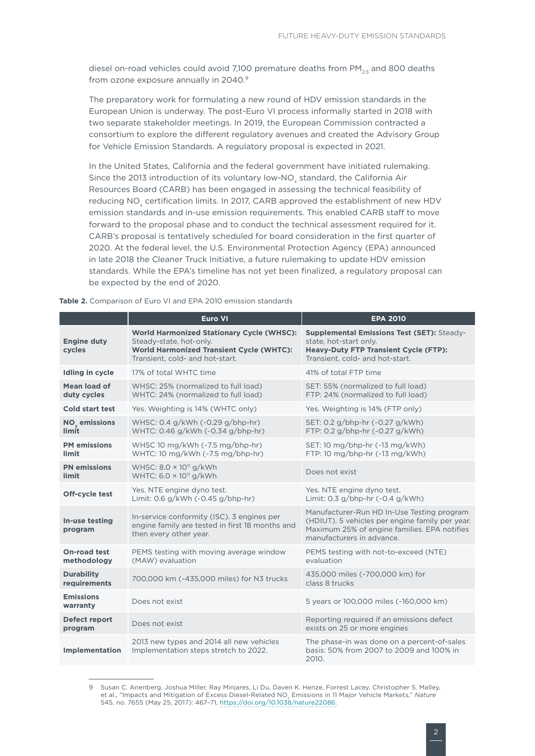diesel on-road vehicles could avoid 7,100 premature deaths from  $PM_{2.5}$  and 800 deaths from ozone exposure annually in 2040.<sup>9</sup>

The preparatory work for formulating a new round of HDV emission standards in the European Union is underway. The post-Euro VI process informally started in 2018 with two separate stakeholder meetings. In 2019, the European Commission contracted a consortium to explore the different regulatory avenues and created the Advisory Group for Vehicle Emission Standards. A regulatory proposal is expected in 2021.

In the United States, California and the federal government have initiated rulemaking. Since the 2013 introduction of its voluntary low-NO<sub>.</sub> standard, the California Air Resources Board (CARB) has been engaged in assessing the technical feasibility of reducing NO<sub>v</sub> certification limits. In 2017, CARB approved the establishment of new HDV emission standards and in-use emission requirements. This enabled CARB staff to move forward to the proposal phase and to conduct the technical assessment required for it. CARB's proposal is tentatively scheduled for board consideration in the first quarter of 2020. At the federal level, the U.S. Environmental Protection Agency (EPA) announced in late 2018 the Cleaner Truck Initiative, a future rulemaking to update HDV emission standards. While the EPA's timeline has not yet been finalized, a regulatory proposal can be expected by the end of 2020.

|                                     | Euro VI                                                                                                                                                           | <b>EPA 2010</b>                                                                                                                                                            |
|-------------------------------------|-------------------------------------------------------------------------------------------------------------------------------------------------------------------|----------------------------------------------------------------------------------------------------------------------------------------------------------------------------|
| <b>Engine duty</b><br>cycles        | <b>World Harmonized Stationary Cycle (WHSC):</b><br>Steady-state, hot-only.<br><b>World Harmonized Transient Cycle (WHTC):</b><br>Transient, cold- and hot-start. | Supplemental Emissions Test (SET): Steady-<br>state, hot-start only.<br><b>Heavy-Duty FTP Transient Cycle (FTP):</b><br>Transient, cold- and hot-start.                    |
| Idling in cycle                     | 17% of total WHTC time                                                                                                                                            | 41% of total FTP time                                                                                                                                                      |
| Mean load of<br>duty cycles         | WHSC: 25% (normalized to full load)<br>WHTC: 24% (normalized to full load)                                                                                        | SET: 55% (normalized to full load)<br>FTP: 24% (normalized to full load)                                                                                                   |
| Cold start test                     | Yes. Weighting is 14% (WHTC only)                                                                                                                                 | Yes. Weighting is 14% (FTP only)                                                                                                                                           |
| NO <sub>v</sub> emissions<br>limit  | WHSC: 0.4 g/kWh (~0.29 g/bhp-hr)<br>WHTC: 0.46 g/kWh (~0.34 g/bhp-hr)                                                                                             | SET: 0.2 g/bhp-hr (~0.27 g/kWh)<br>FTP: 0.2 g/bhp-hr (~0.27 g/kWh)                                                                                                         |
| <b>PM</b> emissions<br>limit        | WHSC 10 mg/kWh (~7.5 mg/bhp-hr)<br>WHTC: 10 mg/kWh (~7.5 mg/bhp-hr)                                                                                               | SET: 10 mg/bhp-hr $(-13 \text{ mg}/kWh)$<br>FTP: 10 mg/bhp-hr (~13 mg/kWh)                                                                                                 |
| <b>PN</b> emissions<br><b>limit</b> | WHSC: $8.0 \times 10^{11}$ g/kWh<br>WHTC: $6.0 \times 10^{11}$ g/kWh                                                                                              | Does not exist                                                                                                                                                             |
| Off-cycle test                      | Yes. NTE engine dyno test.<br>Limit: 0.6 g/kWh (~0.45 g/bhp-hr)                                                                                                   | Yes. NTE engine dyno test.<br>Limit: 0.3 g/bhp-hr (~0.4 g/kWh)                                                                                                             |
| In-use testing<br>program           | In-service conformity (ISC). 3 engines per<br>engine family are tested in first 18 months and<br>then every other year.                                           | Manufacturer-Run HD In-Use Testing program<br>(HDIUT). 5 vehicles per engine family per year.<br>Maximum 25% of engine families. EPA notifies<br>manufacturers in advance. |
| <b>On-road test</b><br>methodology  | PEMS testing with moving average window<br>(MAW) evaluation                                                                                                       | PEMS testing with not-to-exceed (NTE)<br>evaluation                                                                                                                        |
| <b>Durability</b><br>requirements   | 700,000 km (~435,000 miles) for N3 trucks                                                                                                                         | 435,000 miles (~700,000 km) for<br>class 8 trucks                                                                                                                          |
| <b>Emissions</b><br>warranty        | Does not exist                                                                                                                                                    | 5 years or 100,000 miles (~160,000 km)                                                                                                                                     |
| Defect report<br>program            | Does not exist                                                                                                                                                    | Reporting required if an emissions defect<br>exists on 25 or more engines                                                                                                  |
| <b>Implementation</b>               | 2013 new types and 2014 all new vehicles<br>Implementation steps stretch to 2022.                                                                                 | The phase-in was done on a percent-of-sales<br>basis: 50% from 2007 to 2009 and 100% in<br>2010.                                                                           |

**Table 2.** Comparison of Euro VI and EPA 2010 emission standards

<sup>9</sup> Susan C. Anenberg, Joshua Miller, Ray Minjares, Li Du, Daven K. Henze, Forrest Lacey, Christopher S. Malley, et al., "Impacts and Mitigation of Excess Diesel-Related NO<sub>v</sub> Emissions in 11 Major Vehicle Markets," Nature 545, no. 7655 (May 25, 2017): 467–71, <https://doi.org/10.1038/nature22086>.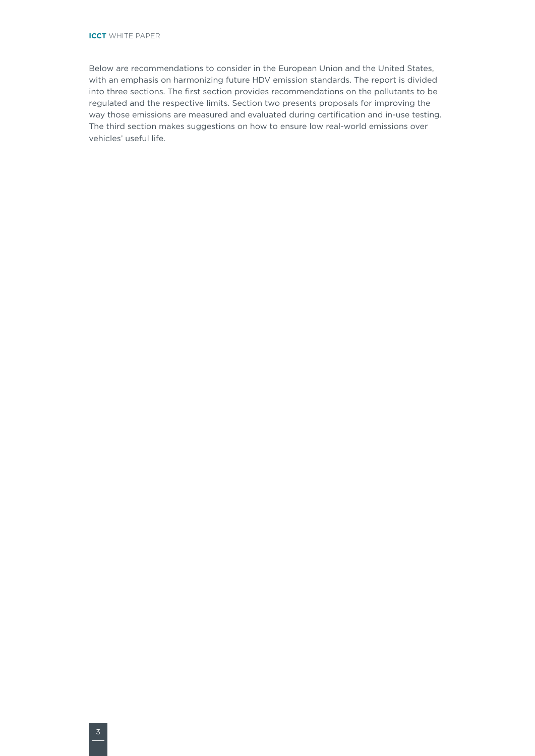Below are recommendations to consider in the European Union and the United States, with an emphasis on harmonizing future HDV emission standards. The report is divided into three sections. The first section provides recommendations on the pollutants to be regulated and the respective limits. Section two presents proposals for improving the way those emissions are measured and evaluated during certification and in-use testing. The third section makes suggestions on how to ensure low real-world emissions over vehicles' useful life.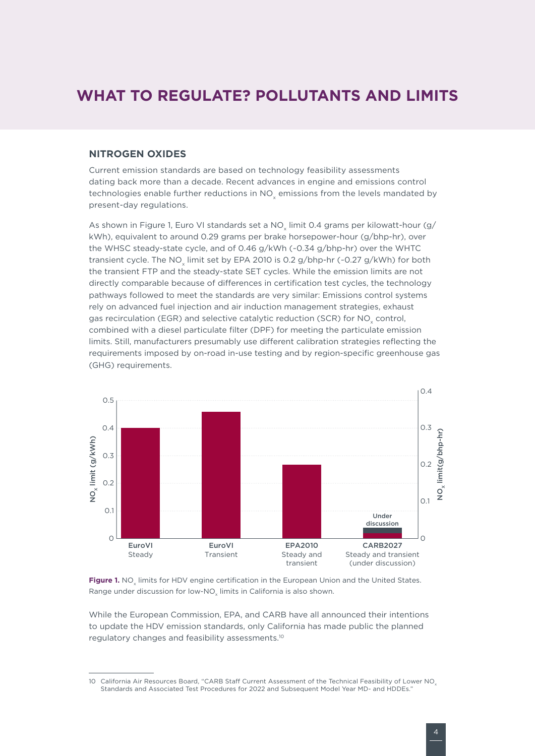## <span id="page-8-0"></span>**WHAT TO REGULATE? POLLUTANTS AND LIMITS**

## **NITROGEN OXIDES**

Current emission standards are based on technology feasibility assessments dating back more than a decade. Recent advances in engine and emissions control technologies enable further reductions in NO<sub>v</sub> emissions from the levels mandated by present-day regulations.

As shown in [Figure 1](#page-8-1), Euro VI standards set a NO<sub>v</sub> limit 0.4 grams per kilowatt-hour (g/ kWh), equivalent to around 0.29 grams per brake horsepower-hour (g/bhp-hr), over the WHSC steady-state cycle, and of 0.46 g/kWh (~0.34 g/bhp-hr) over the WHTC transient cycle. The NO<sub>v</sub> limit set by EPA 2010 is 0.2 g/bhp-hr (~0.27 g/kWh) for both the transient FTP and the steady-state SET cycles. While the emission limits are not directly comparable because of differences in certification test cycles, the technology pathways followed to meet the standards are very similar: Emissions control systems rely on advanced fuel injection and air induction management strategies, exhaust gas recirculation (EGR) and selective catalytic reduction (SCR) for NO<sub>v</sub> control, combined with a diesel particulate filter (DPF) for meeting the particulate emission limits. Still, manufacturers presumably use different calibration strategies reflecting the requirements imposed by on-road in-use testing and by region-specific greenhouse gas (GHG) requirements.



<span id="page-8-1"></span>Figure 1. NO<sub>v</sub> limits for HDV engine certification in the European Union and the United States. Range under discussion for low-NO<sub>v</sub> limits in California is also shown.

While the European Commission, EPA, and CARB have all announced their intentions to update the HDV emission standards, only California has made public the planned regulatory changes and feasibility assessments.10

<sup>10</sup> California Air Resources Board, "CARB Staff Current Assessment of the Technical Feasibility of Lower NO<sub>v</sub> Standards and Associated Test Procedures for 2022 and Subsequent Model Year MD- and HDDEs."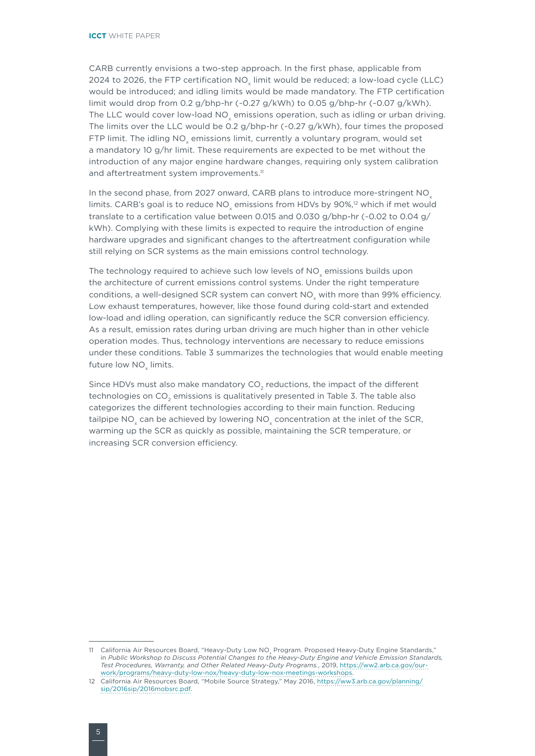CARB currently envisions a two-step approach. In the first phase, applicable from 2024 to 2026, the FTP certification NO<sub>v</sub> limit would be reduced; a low-load cycle (LLC) would be introduced; and idling limits would be made mandatory. The FTP certification limit would drop from 0.2 g/bhp-hr  $(-0.27 \text{ g}/\text{kWh})$  to 0.05 g/bhp-hr  $(-0.07 \text{ g}/\text{kWh})$ . The LLC would cover low-load NO emissions operation, such as idling or urban driving. The limits over the LLC would be 0.2 g/bhp-hr (~0.27 g/kWh), four times the proposed FTP limit. The idling NO<sub>v</sub> emissions limit, currently a voluntary program, would set a mandatory 10 g/hr limit. These requirements are expected to be met without the introduction of any major engine hardware changes, requiring only system calibration and aftertreatment system improvements.<sup>11</sup>

In the second phase, from 2027 onward, CARB plans to introduce more-stringent NO<sub>x</sub> limits. CARB's goal is to reduce NO<sub>v</sub> emissions from HDVs by 90%,<sup>12</sup> which if met would translate to a certification value between 0.015 and 0.030 g/bhp-hr (~0.02 to 0.04 g/ kWh). Complying with these limits is expected to require the introduction of engine hardware upgrades and significant changes to the aftertreatment configuration while still relying on SCR systems as the main emissions control technology.

The technology required to achieve such low levels of NO<sub>v</sub> emissions builds upon the architecture of current emissions control systems. Under the right temperature conditions, a well-designed SCR system can convert NO, with more than 99% efficiency. Low exhaust temperatures, however, like those found during cold-start and extended low-load and idling operation, can significantly reduce the SCR conversion efficiency. As a result, emission rates during urban driving are much higher than in other vehicle operation modes. Thus, technology interventions are necessary to reduce emissions under these conditions. Table 3 summarizes the technologies that would enable meeting future low NO<sub>v</sub> limits.

Since HDVs must also make mandatory  $CO<sub>2</sub>$  reductions, the impact of the different technologies on CO<sub>2</sub> emissions is qualitatively presented in Table 3. The table also categorizes the different technologies according to their main function. Reducing tailpipe NO<sub>y</sub> can be achieved by lowering NO<sub>y</sub> concentration at the inlet of the SCR, warming up the SCR as quickly as possible, maintaining the SCR temperature, or increasing SCR conversion efficiency.

<sup>11</sup> California Air Resources Board, "Heavy-Duty Low NO<sub>v</sub> Program. Proposed Heavy-Duty Engine Standards," in *Public Workshop to Discuss Potential Changes to the Heavy-Duty Engine and Vehicle Emission Standards, Test Procedures, Warranty, and Other Related Heavy-Duty Programs.*, 2019, [https://ww2.arb.ca.gov/our](https://ww2.arb.ca.gov/our-work/programs/heavy-duty-low-nox/heavy-duty-low-nox-meetings-workshops)[work/programs/heavy-duty-low-nox/heavy-duty-low-nox-meetings-workshops](https://ww2.arb.ca.gov/our-work/programs/heavy-duty-low-nox/heavy-duty-low-nox-meetings-workshops).

<sup>12</sup> California Air Resources Board, "Mobile Source Strategy," May 2016, [https://ww3.arb.ca.gov/planning/](https://ww3.arb.ca.gov/planning/sip/2016sip/2016mobsrc.pdf) [sip/2016sip/2016mobsrc.pdf](https://ww3.arb.ca.gov/planning/sip/2016sip/2016mobsrc.pdf).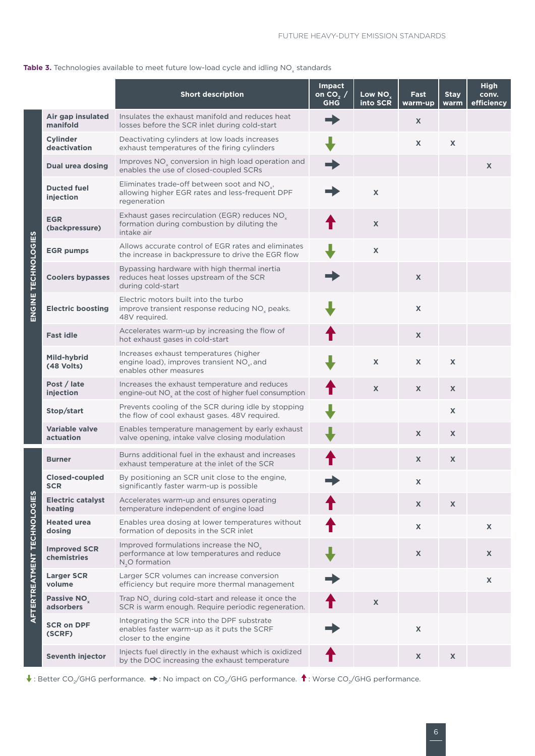## **Table 3.** Technologies available to meet future low-load cycle and idling  $NO<sub>x</sub>$  standards

|                                    |                                      | <b>Short description</b>                                                                                                   | <b>Impact</b><br>on $CO2$ /<br><b>GHG</b> | Low NO <sub>.</sub><br>into SCR | Fast<br>warm-up           | <b>Stay</b><br>warm | High<br>conv.<br>efficiency |
|------------------------------------|--------------------------------------|----------------------------------------------------------------------------------------------------------------------------|-------------------------------------------|---------------------------------|---------------------------|---------------------|-----------------------------|
|                                    | Air gap insulated<br>manifold        | Insulates the exhaust manifold and reduces heat<br>losses before the SCR inlet during cold-start                           |                                           |                                 | X                         |                     |                             |
|                                    | <b>Cylinder</b><br>deactivation      | Deactivating cylinders at low loads increases<br>exhaust temperatures of the firing cylinders                              |                                           |                                 | $\mathsf{X}$              | X                   |                             |
|                                    | <b>Dual urea dosing</b>              | Improves NO <sub>x</sub> conversion in high load operation and<br>enables the use of closed-coupled SCRs                   |                                           |                                 |                           |                     | X                           |
|                                    | <b>Ducted fuel</b><br>injection      | Eliminates trade-off between soot and NO <sub>x</sub> ,<br>allowing higher EGR rates and less-frequent DPF<br>regeneration |                                           | $\mathsf{X}$                    |                           |                     |                             |
|                                    | <b>EGR</b><br>(backpressure)         | Exhaust gases recirculation (EGR) reduces $NOx$<br>formation during combustion by diluting the<br>intake air               |                                           | $\mathsf{X}$                    |                           |                     |                             |
|                                    | <b>EGR pumps</b>                     | Allows accurate control of EGR rates and eliminates<br>the increase in backpressure to drive the EGR flow                  |                                           | $\mathsf{X}$                    |                           |                     |                             |
|                                    | <b>Coolers bypasses</b>              | Bypassing hardware with high thermal inertia<br>reduces heat losses upstream of the SCR<br>during cold-start               |                                           |                                 | $\mathsf{x}$              |                     |                             |
| ENGINE TECHNOLOGIES                | <b>Electric boosting</b>             | Electric motors built into the turbo<br>improve transient response reducing NO <sub>v</sub> peaks.<br>48V required.        |                                           |                                 | $\mathsf{X}$              |                     |                             |
|                                    | <b>Fast idle</b>                     | Accelerates warm-up by increasing the flow of<br>hot exhaust gases in cold-start                                           |                                           |                                 | X                         |                     |                             |
|                                    | Mild-hybrid<br>(48 Volts)            | Increases exhaust temperatures (higher<br>engine load), improves transient NO <sub>v</sub> , and<br>enables other measures |                                           | $\mathsf{X}$                    | X                         | X                   |                             |
|                                    | Post / late<br>injection             | Increases the exhaust temperature and reduces<br>engine-out NO <sub>x</sub> at the cost of higher fuel consumption         |                                           | X                               | X                         | X                   |                             |
|                                    | Stop/start                           | Prevents cooling of the SCR during idle by stopping<br>the flow of cool exhaust gases. 48V required.                       |                                           |                                 |                           | $\mathsf{x}$        |                             |
|                                    | <b>Variable valve</b><br>actuation   | Enables temperature management by early exhaust<br>valve opening, intake valve closing modulation                          |                                           |                                 | X                         | $\mathsf{x}$        |                             |
|                                    | <b>Burner</b>                        | Burns additional fuel in the exhaust and increases<br>exhaust temperature at the inlet of the SCR                          |                                           |                                 | X                         | X                   |                             |
|                                    | Closed-coupled<br><b>SCR</b>         | By positioning an SCR unit close to the engine,<br>significantly faster warm-up is possible                                |                                           |                                 | X                         |                     |                             |
|                                    | <b>Electric catalyst</b><br>heating  | Accelerates warm-up and ensures operating<br>temperature independent of engine load                                        |                                           |                                 | X                         | X                   |                             |
|                                    | <b>Heated urea</b><br>dosing         | Enables urea dosing at lower temperatures without<br>formation of deposits in the SCR inlet                                |                                           |                                 | X                         |                     | X                           |
| <b>AFTERTREATMENT TECHNOLOGIES</b> | <b>Improved SCR</b><br>chemistries   | Improved formulations increase the NO <sub>v</sub><br>performance at low temperatures and reduce<br>$N_{0}$ O formation    |                                           |                                 | $\boldsymbol{\mathsf{X}}$ |                     | X                           |
|                                    | <b>Larger SCR</b><br>volume          | Larger SCR volumes can increase conversion<br>efficiency but require more thermal management                               |                                           |                                 |                           |                     | $\pmb{\mathsf{X}}$          |
|                                    | Passive NO <sub>y</sub><br>adsorbers | Trap $NOx$ during cold-start and release it once the<br>SCR is warm enough. Require periodic regeneration.                 |                                           | $\pmb{\chi}$                    |                           |                     |                             |
|                                    | <b>SCR on DPF</b><br>(SCRF)          | Integrating the SCR into the DPF substrate<br>enables faster warm-up as it puts the SCRF<br>closer to the engine           |                                           |                                 | $\pmb{\mathsf{X}}$        |                     |                             |
|                                    | <b>Seventh injector</b>              | Injects fuel directly in the exhaust which is oxidized<br>by the DOC increasing the exhaust temperature                    |                                           |                                 | X                         | X                   |                             |

 $\blacklozenge$  : Better CO<sub>2</sub>/GHG performance.  $\blacktriangleright$  : No impact on CO<sub>2</sub>/GHG performance.  $\blacklozenge$  : Worse CO<sub>2</sub>/GHG performance.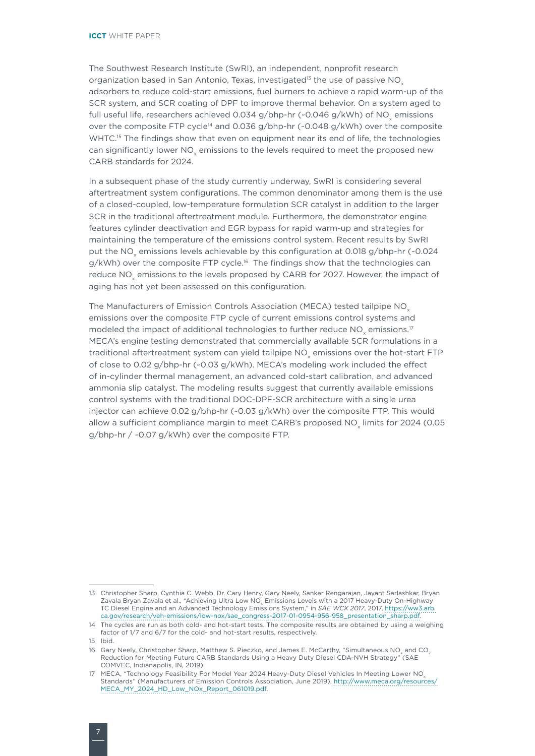The Southwest Research Institute (SwRI), an independent, nonprofit research organization based in San Antonio, Texas, investigated<sup>13</sup> the use of passive  $NO<sub>x</sub>$ adsorbers to reduce cold-start emissions, fuel burners to achieve a rapid warm-up of the SCR system, and SCR coating of DPF to improve thermal behavior. On a system aged to full useful life, researchers achieved 0.034  $q/b$ hp-hr (~0.046  $q/kWh$ ) of NO emissions over the composite FTP cycle<sup>14</sup> and 0.036 g/bhp-hr (~0.048 g/kWh) over the composite WHTC.<sup>15</sup> The findings show that even on equipment near its end of life, the technologies can significantly lower NO<sub>v</sub> emissions to the levels required to meet the proposed new CARB standards for 2024.

In a subsequent phase of the study currently underway, SwRI is considering several aftertreatment system configurations. The common denominator among them is the use of a closed-coupled, low-temperature formulation SCR catalyst in addition to the larger SCR in the traditional aftertreatment module. Furthermore, the demonstrator engine features cylinder deactivation and EGR bypass for rapid warm-up and strategies for maintaining the temperature of the emissions control system. Recent results by SwRI put the NO emissions levels achievable by this configuration at 0.018 g/bhp-hr (~0.024  $g/kWh$ ) over the composite FTP cycle.<sup>16</sup> The findings show that the technologies can reduce NO<sub>v</sub> emissions to the levels proposed by CARB for 2027. However, the impact of aging has not yet been assessed on this configuration.

The Manufacturers of Emission Controls Association (MECA) tested tailpipe NO<sub>v</sub> emissions over the composite FTP cycle of current emissions control systems and modeled the impact of additional technologies to further reduce NO<sub>v</sub> emissions.<sup>17</sup> MECA's engine testing demonstrated that commercially available SCR formulations in a traditional aftertreatment system can yield tailpipe NO emissions over the hot-start FTP of close to 0.02 g/bhp-hr (~0.03 g/kWh). MECA's modeling work included the effect of in-cylinder thermal management, an advanced cold-start calibration, and advanced ammonia slip catalyst. The modeling results suggest that currently available emissions control systems with the traditional DOC-DPF-SCR architecture with a single urea injector can achieve 0.02 g/bhp-hr (~0.03 g/kWh) over the composite FTP. This would allow a sufficient compliance margin to meet CARB's proposed NO<sub>v</sub> limits for 2024 (0.05 g/bhp-hr / ~0.07 g/kWh) over the composite FTP.

<sup>13</sup> Christopher Sharp, Cynthia C. Webb, Dr. Cary Henry, Gary Neely, Sankar Rengarajan, Jayant Sarlashkar, Bryan Zavala Bryan Zavala et al., "Achieving Ultra Low NO<sub>x</sub> Emissions Levels with a 2017 Heavy-Duty On-Highway TC Diesel Engine and an Advanced Technology Emissions System," in *SAE WCX 2017*, 2017, [https://ww3.arb.](https://ww3.arb.ca.gov/research/veh-emissions/low-nox/sae_congress-2017-01-0954-956-958_presentation_sharp.pdf) [ca.gov/research/veh-emissions/low-nox/sae\\_congress-2017-01-0954-956-958\\_presentation\\_sharp.pdf](https://ww3.arb.ca.gov/research/veh-emissions/low-nox/sae_congress-2017-01-0954-956-958_presentation_sharp.pdf).

<sup>14</sup> The cycles are run as both cold- and hot-start tests. The composite results are obtained by using a weighing factor of 1/7 and 6/7 for the cold- and hot-start results, respectively.

<sup>15</sup> Ibid.

<sup>16</sup> Gary Neely, Christopher Sharp, Matthew S. Pieczko, and James E. McCarthy, "Simultaneous NO<sub>v</sub> and CO<sub>2</sub> Reduction for Meeting Future CARB Standards Using a Heavy Duty Diesel CDA-NVH Strategy" (SAE COMVEC, Indianapolis, IN, 2019).

<sup>17</sup> MECA, "Technology Feasibility For Model Year 2024 Heavy-Duty Diesel Vehicles In Meeting Lower NO<sub>x</sub> Standards" (Manufacturers of Emission Controls Association, June 2019), [http://www.meca.org/resources/](http://www.meca.org/resources/MECA_MY_2024_HD_Low_NOx_Report_061019.pdf) [MECA\\_MY\\_2024\\_HD\\_Low\\_NOx\\_Report\\_061019.pdf.](http://www.meca.org/resources/MECA_MY_2024_HD_Low_NOx_Report_061019.pdf)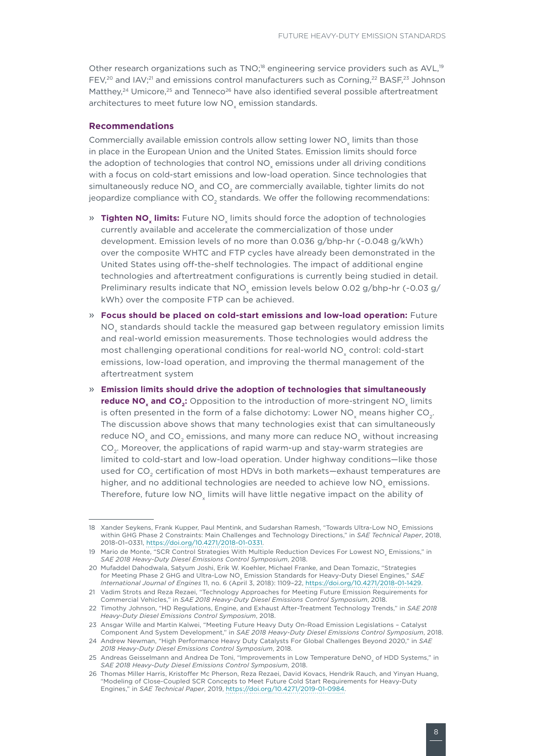Other research organizations such as TNO;<sup>18</sup> engineering service providers such as AVL,<sup>19</sup> FEV,<sup>20</sup> and IAV;<sup>21</sup> and emissions control manufacturers such as Corning,<sup>22</sup> BASF,<sup>23</sup> Johnson Matthey,<sup>24</sup> Umicore,<sup>25</sup> and Tenneco<sup>26</sup> have also identified several possible aftertreatment architectures to meet future low NO<sub>v</sub> emission standards.

### **Recommendations**

Commercially available emission controls allow setting lower NO<sub>x</sub> limits than those in place in the European Union and the United States. Emission limits should force the adoption of technologies that control NO<sub>v</sub> emissions under all driving conditions with a focus on cold-start emissions and low-load operation. Since technologies that simultaneously reduce  $NO<sub>x</sub>$  and  $CO<sub>2</sub>$  are commercially available, tighter limits do not jeopardize compliance with  $CO<sub>2</sub>$  standards. We offer the following recommendations:

- » **Tighten NO<sub>v</sub> limits:** Future NO<sub>v</sub> limits should force the adoption of technologies currently available and accelerate the commercialization of those under development. Emission levels of no more than 0.036 g/bhp-hr (~0.048 g/kWh) over the composite WHTC and FTP cycles have already been demonstrated in the United States using off-the-shelf technologies. The impact of additional engine technologies and aftertreatment configurations is currently being studied in detail. Preliminary results indicate that NO<sub>v</sub> emission levels below 0.02 g/bhp-hr (~0.03 g/ kWh) over the composite FTP can be achieved.
- » **Focus should be placed on cold-start emissions and low-load operation:** Future NO<sub>v</sub> standards should tackle the measured gap between regulatory emission limits and real-world emission measurements. Those technologies would address the most challenging operational conditions for real-world NO<sub>y</sub> control: cold-start emissions, low-load operation, and improving the thermal management of the aftertreatment system
- » **Emission limits should drive the adoption of technologies that simultaneously reduce NO<sub>x</sub> and CO<sub>2</sub>:** Opposition to the introduction of more-stringent NO<sub>x</sub> limits is often presented in the form of a false dichotomy: Lower NO<sub>x</sub> means higher  $CO<sub>2</sub>$ . The discussion above shows that many technologies exist that can simultaneously reduce  $NO<sub>x</sub>$  and  $CO<sub>2</sub>$  emissions, and many more can reduce  $NO<sub>x</sub>$  without increasing CO<sub>2</sub>. Moreover, the applications of rapid warm-up and stay-warm strategies are limited to cold-start and low-load operation. Under highway conditions—like those used for CO<sub>2</sub> certification of most HDVs in both markets—exhaust temperatures are higher, and no additional technologies are needed to achieve low NO<sub>v</sub> emissions. Therefore, future low NO<sub>y</sub> limits will have little negative impact on the ability of

<sup>18</sup> Xander Seykens, Frank Kupper, Paul Mentink, and Sudarshan Ramesh, "Towards Ultra-Low NO. Emissions within GHG Phase 2 Constraints: Main Challenges and Technology Directions," in *SAE Technical Paper*, 2018, 2018-01–0331, <https://doi.org/10.4271/2018-01-0331>.

<sup>19</sup> Mario de Monte, "SCR Control Strategies With Multiple Reduction Devices For Lowest NO<sub>v</sub> Emissions," in *SAE 2018 Heavy-Duty Diesel Emissions Control Symposium*, 2018.

<sup>20</sup> Mufaddel Dahodwala, Satyum Joshi, Erik W. Koehler, Michael Franke, and Dean Tomazic, "Strategies for Meeting Phase 2 GHG and Ultra-Low NO<sub>y</sub> Emission Standards for Heavy-Duty Diesel Engines," SAE *International Journal of Engines* 11, no. 6 (April 3, 2018): 1109–22, [https://doi.org/10.4271/2018-01-1429.](https://doi.org/10.4271/2018-01-1429)

<sup>21</sup> Vadim Strots and Reza Rezaei, "Technology Approaches for Meeting Future Emission Requirements for Commercial Vehicles," in *SAE 2018 Heavy-Duty Diesel Emissions Control Symposium*, 2018.

<sup>22</sup> Timothy Johnson, "HD Regulations, Engine, and Exhaust After-Treatment Technology Trends," in *SAE 2018 Heavy-Duty Diesel Emissions Control Symposium*, 2018.

<sup>23</sup> Ansgar Wille and Martin Kalwei, "Meeting Future Heavy Duty On-Road Emission Legislations – Catalyst Component And System Development," in *SAE 2018 Heavy-Duty Diesel Emissions Control Symposium*, 2018. 24 Andrew Newman, "High Performance Heavy Duty Catalysts For Global Challenges Beyond 2020," in *SAE* 

*<sup>2018</sup> Heavy-Duty Diesel Emissions Control Symposium*, 2018. 25 Andreas Geisselmann and Andrea De Toni, "Improvements in Low Temperature DeNO<sub>v</sub> of HDD Systems," in

*SAE 2018 Heavy-Duty Diesel Emissions Control Symposium*, 2018.

<sup>26</sup> Thomas Miller Harris, Kristoffer Mc Pherson, Reza Rezaei, David Kovacs, Hendrik Rauch, and Yinyan Huang, "Modeling of Close-Coupled SCR Concepts to Meet Future Cold Start Requirements for Heavy-Duty Engines," in *SAE Technical Paper*, 2019, <https://doi.org/10.4271/2019-01-0984>.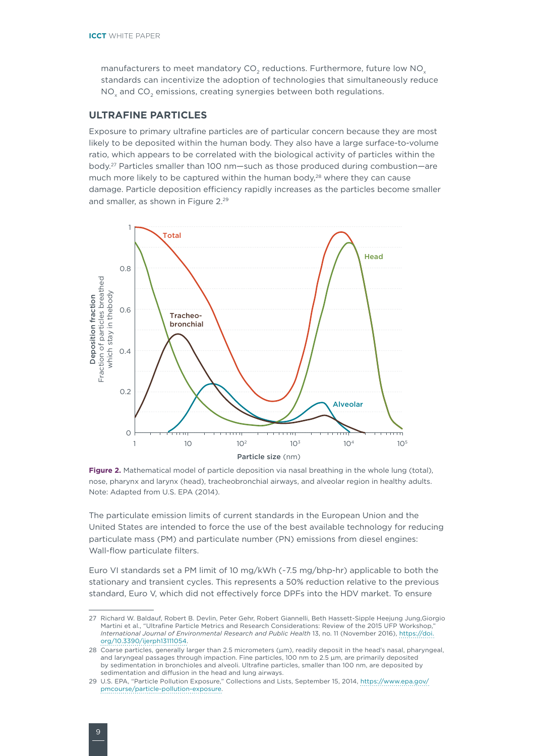<span id="page-13-0"></span>manufacturers to meet mandatory  $CO<sub>2</sub>$  reductions. Furthermore, future low NO<sub>x</sub> standards can incentivize the adoption of technologies that simultaneously reduce NO<sub>y</sub> and CO<sub>2</sub> emissions, creating synergies between both regulations.

## **ULTRAFINE PARTICLES**

Exposure to primary ultrafine particles are of particular concern because they are most likely to be deposited within the human body. They also have a large surface-to-volume ratio, which appears to be correlated with the biological activity of particles within the body.27 Particles smaller than 100 nm—such as those produced during combustion—are much more likely to be captured within the human body,<sup>28</sup> where they can cause damage. Particle deposition efficiency rapidly increases as the particles become smaller and smaller, as shown in [Figure](#page-13-1) 2.29



<span id="page-13-1"></span>**Figure 2.** Mathematical model of particle deposition via nasal breathing in the whole lung (total), nose, pharynx and larynx (head), tracheobronchial airways, and alveolar region in healthy adults. Note: Adapted from U.S. EPA (2014).

The particulate emission limits of current standards in the European Union and the United States are intended to force the use of the best available technology for reducing particulate mass (PM) and particulate number (PN) emissions from diesel engines: Wall-flow particulate filters.

Euro VI standards set a PM limit of 10 mg/kWh (~7.5 mg/bhp-hr) applicable to both the stationary and transient cycles. This represents a 50% reduction relative to the previous standard, Euro V, which did not effectively force DPFs into the HDV market. To ensure

<sup>27</sup> Richard W. Baldauf, Robert B. Devlin, Peter Gehr, Robert Giannelli, Beth Hassett-Sipple Heejung Jung,Giorgio Martini et al., "Ultrafine Particle Metrics and Research Considerations: Review of the 2015 UFP Workshop," *International Journal of Environmental Research and Public Health* 13, no. 11 (November 2016), [https://doi.](https://doi.org/10.3390/ijerph13111054) [org/10.3390/ijerph13111054.](https://doi.org/10.3390/ijerph13111054)

<sup>28</sup> Coarse particles, generally larger than 2.5 micrometers (μm), readily deposit in the head's nasal, pharyngeal, and laryngeal passages through impaction. Fine particles, 100 nm to 2.5 μm, are primarily deposited by sedimentation in bronchioles and alveoli. Ultrafine particles, smaller than 100 nm, are deposited by sedimentation and diffusion in the head and lung airways.

<sup>29</sup> U.S. EPA, "Particle Pollution Exposure," Collections and Lists, September 15, 2014, [https://www.epa.gov/](https://www.epa.gov/pmcourse/particle-pollution-exposure) [pmcourse/particle-pollution-exposure](https://www.epa.gov/pmcourse/particle-pollution-exposure).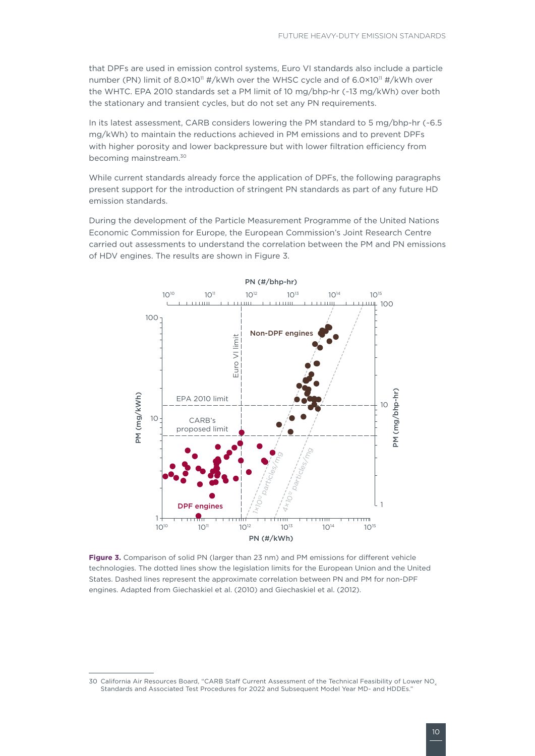that DPFs are used in emission control systems, Euro VI standards also include a particle number (PN) limit of 8.0×10<sup>11</sup> #/kWh over the WHSC cycle and of 6.0×10<sup>11</sup> #/kWh over the WHTC. EPA 2010 standards set a PM limit of 10 mg/bhp-hr (~13 mg/kWh) over both the stationary and transient cycles, but do not set any PN requirements.

In its latest assessment, CARB considers lowering the PM standard to 5 mg/bhp-hr (~6.5 mg/kWh) to maintain the reductions achieved in PM emissions and to prevent DPFs with higher porosity and lower backpressure but with lower filtration efficiency from becoming mainstream.30

While current standards already force the application of DPFs, the following paragraphs present support for the introduction of stringent PN standards as part of any future HD emission standards.

During the development of the Particle Measurement Programme of the United Nations Economic Commission for Europe, the European Commission's Joint Research Centre carried out assessments to understand the correlation between the PM and PN emissions of HDV engines. The results are shown in [Figure 3](#page-14-0).



<span id="page-14-0"></span>**Figure 3.** Comparison of solid PN (larger than 23 nm) and PM emissions for different vehicle technologies. The dotted lines show the legislation limits for the European Union and the United States. Dashed lines represent the approximate correlation between PN and PM for non-DPF engines. Adapted from Giechaskiel et al. (2010) and Giechaskiel et al. (2012).

<sup>30</sup> California Air Resources Board, "CARB Staff Current Assessment of the Technical Feasibility of Lower NO<sub>v</sub> Standards and Associated Test Procedures for 2022 and Subsequent Model Year MD- and HDDEs."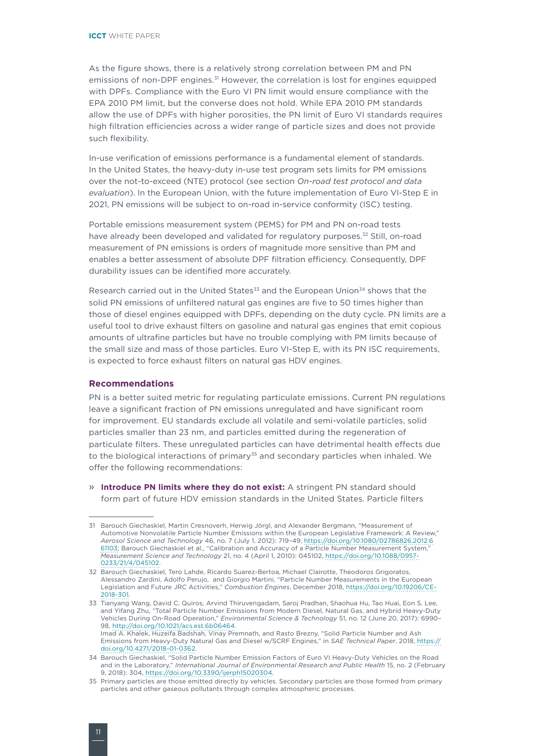As the figure shows, there is a relatively strong correlation between PM and PN emissions of non-DPF engines.<sup>31</sup> However, the correlation is lost for engines equipped with DPFs. Compliance with the Euro VI PN limit would ensure compliance with the EPA 2010 PM limit, but the converse does not hold. While EPA 2010 PM standards allow the use of DPFs with higher porosities, the PN limit of Euro VI standards requires high filtration efficiencies across a wider range of particle sizes and does not provide such flexibility.

In-use verification of emissions performance is a fundamental element of standards. In the United States, the heavy-duty in-use test program sets limits for PM emissions over the not-to-exceed (NTE) protocol (see section *On-road test protocol and data evaluation*). In the European Union, with the future implementation of Euro VI-Step E in 2021, PN emissions will be subject to on-road in-service conformity (ISC) testing.

Portable emissions measurement system (PEMS) for PM and PN on-road tests have already been developed and validated for regulatory purposes.<sup>32</sup> Still, on-road measurement of PN emissions is orders of magnitude more sensitive than PM and enables a better assessment of absolute DPF filtration efficiency. Consequently, DPF durability issues can be identified more accurately.

Research carried out in the United States<sup>33</sup> and the European Union<sup>34</sup> shows that the solid PN emissions of unfiltered natural gas engines are five to 50 times higher than those of diesel engines equipped with DPFs, depending on the duty cycle. PN limits are a useful tool to drive exhaust filters on gasoline and natural gas engines that emit copious amounts of ultrafine particles but have no trouble complying with PM limits because of the small size and mass of those particles. Euro VI-Step E, with its PN ISC requirements, is expected to force exhaust filters on natural gas HDV engines.

### **Recommendations**

PN is a better suited metric for regulating particulate emissions. Current PN regulations leave a significant fraction of PN emissions unregulated and have significant room for improvement. EU standards exclude all volatile and semi-volatile particles, solid particles smaller than 23 nm, and particles emitted during the regeneration of particulate filters. These unregulated particles can have detrimental health effects due to the biological interactions of primary<sup>35</sup> and secondary particles when inhaled. We offer the following recommendations:

» **Introduce PN limits where they do not exist:** A stringent PN standard should form part of future HDV emission standards in the United States. Particle filters

Imad A. Khalek, Huzeifa Badshah, Vinay Premnath, and Rasto Brezny, "Solid Particle Number and Ash Emissions from Heavy-Duty Natural Gas and Diesel w/SCRF Engines," in *SAE Technical Paper*, 2018, [https://](https://doi.org/10.4271/2018-01-0362) [doi.org/10.4271/2018-01-0362](https://doi.org/10.4271/2018-01-0362).

<sup>31</sup> Barouch Giechaskiel, Martin Cresnoverh, Herwig Jörgl, and Alexander Bergmann, "Measurement of Automotive Nonvolatile Particle Number Emissions within the European Legislative Framework: A Review," *Aerosol Science and Technology* 46, no. 7 (July 1, 2012): 719–49, [https://doi.org/10.1080/02786826.2012.6](https://doi.org/10.1080/02786826.2012.661103) [61103](https://doi.org/10.1080/02786826.2012.661103); Barouch Giechaskiel et al., "Calibration and Accuracy of a Particle Number Measurement System," *Measurement Science and Technology* 21, no. 4 (April 1, 2010): 045102, [https://doi.org/10.1088/0957-](https://doi.org/10.1088/0957-0233/21/4/045102) [0233/21/4/045102](https://doi.org/10.1088/0957-0233/21/4/045102).

<sup>32</sup> Barouch Giechaskiel, Tero Lahde, Ricardo Suarez-Bertoa, Michael Clairotte, Theodoros Grigoratos, Alessandro Zardini, Adolfo Perujo, and Giorgio Martini, "Particle Number Measurements in the European Legislation and Future JRC Activities," *Combustion Engines*, December 2018, [https://doi.org/10.19206/CE-](https://doi.org/10.19206/CE-2018-301)[2018-301](https://doi.org/10.19206/CE-2018-301).

<sup>33</sup> Tianyang Wang, David C. Quiros, Arvind Thiruvengadam, Saroj Pradhan, Shaohua Hu, Tao Huai, Eon S. Lee, and Yifang Zhu, "Total Particle Number Emissions from Modern Diesel, Natural Gas, and Hybrid Heavy-Duty Vehicles During On-Road Operation," *Environmental Science & Technology* 51, no. 12 (June 20, 2017): 6990– 98, <http://doi.org/10.1021/acs.est.6b06464>.

<sup>34</sup> Barouch Giechaskiel, "Solid Particle Number Emission Factors of Euro VI Heavy-Duty Vehicles on the Road and in the Laboratory," *International Journal of Environmental Research and Public Health* 15, no. 2 (February 9, 2018): 304,<https://doi.org/10.3390/ijerph15020304>.

<sup>35</sup> Primary particles are those emitted directly by vehicles. Secondary particles are those formed from primary particles and other gaseous pollutants through complex atmospheric processes.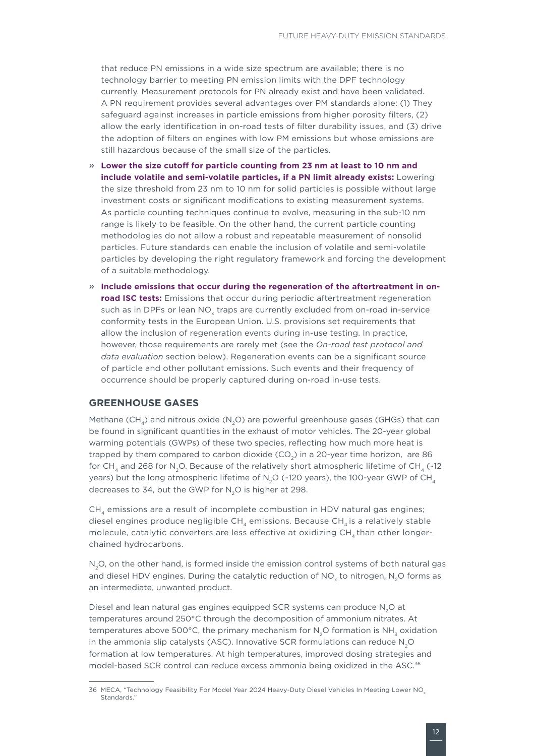<span id="page-16-0"></span>that reduce PN emissions in a wide size spectrum are available; there is no technology barrier to meeting PN emission limits with the DPF technology currently. Measurement protocols for PN already exist and have been validated. A PN requirement provides several advantages over PM standards alone: (1) They safeguard against increases in particle emissions from higher porosity filters, (2) allow the early identification in on-road tests of filter durability issues, and (3) drive the adoption of filters on engines with low PM emissions but whose emissions are still hazardous because of the small size of the particles.

- » **Lower the size cutoff for particle counting from 23 nm at least to 10 nm and include volatile and semi-volatile particles, if a PN limit already exists:** Lowering the size threshold from 23 nm to 10 nm for solid particles is possible without large investment costs or significant modifications to existing measurement systems. As particle counting techniques continue to evolve, measuring in the sub-10 nm range is likely to be feasible. On the other hand, the current particle counting methodologies do not allow a robust and repeatable measurement of nonsolid particles. Future standards can enable the inclusion of volatile and semi-volatile particles by developing the right regulatory framework and forcing the development of a suitable methodology.
- » **Include emissions that occur during the regeneration of the aftertreatment in onroad ISC tests:** Emissions that occur during periodic aftertreatment regeneration such as in DPFs or lean NO<sub>x</sub> traps are currently excluded from on-road in-service conformity tests in the European Union. U.S. provisions set requirements that allow the inclusion of regeneration events during in-use testing. In practice, however, those requirements are rarely met (see the *[On-road test protocol and](#page-18-1)  [data evaluation](#page-18-1)* section below). Regeneration events can be a significant source of particle and other pollutant emissions. Such events and their frequency of occurrence should be properly captured during on-road in-use tests.

## **GREENHOUSE GASES**

Methane (CH,) and nitrous oxide (N<sub>2</sub>O) are powerful greenhouse gases (GHGs) that can be found in significant quantities in the exhaust of motor vehicles. The 20-year global warming potentials (GWPs) of these two species, reflecting how much more heat is trapped by them compared to carbon dioxide  $(CO<sub>2</sub>)$  in a 20-year time horizon, are 86 for CH<sub>4</sub> and 268 for N<sub>2</sub>O. Because of the relatively short atmospheric lifetime of CH<sub>4</sub> (~12) years) but the long atmospheric lifetime of N<sub>2</sub>O (~120 years), the 100-year GWP of CH<sub>4</sub> decreases to 34, but the GWP for  $N_2O$  is higher at 298.

 $CH<sub>4</sub>$  emissions are a result of incomplete combustion in HDV natural gas engines; diesel engines produce negligible  $CH<sub>A</sub>$  emissions. Because  $CH<sub>A</sub>$  is a relatively stable molecule, catalytic converters are less effective at oxidizing  $CH<sub>4</sub>$  than other longerchained hydrocarbons.

N<sub>2</sub>O, on the other hand, is formed inside the emission control systems of both natural gas and diesel HDV engines. During the catalytic reduction of NO<sub>v</sub> to nitrogen, N<sub>2</sub>O forms as an intermediate, unwanted product.

Diesel and lean natural gas engines equipped SCR systems can produce N<sub>2</sub>O at temperatures around 250°C through the decomposition of ammonium nitrates. At temperatures above 500 $^{\circ}$ C, the primary mechanism for N<sub>2</sub>O formation is NH<sub>2</sub> oxidation in the ammonia slip catalysts (ASC). Innovative SCR formulations can reduce N<sub>2</sub>O formation at low temperatures. At high temperatures, improved dosing strategies and model-based SCR control can reduce excess ammonia being oxidized in the ASC.36

<sup>36</sup> MECA, "Technology Feasibility For Model Year 2024 Heavy-Duty Diesel Vehicles In Meeting Lower NO<sub>v</sub> Standards<sup>'</sup>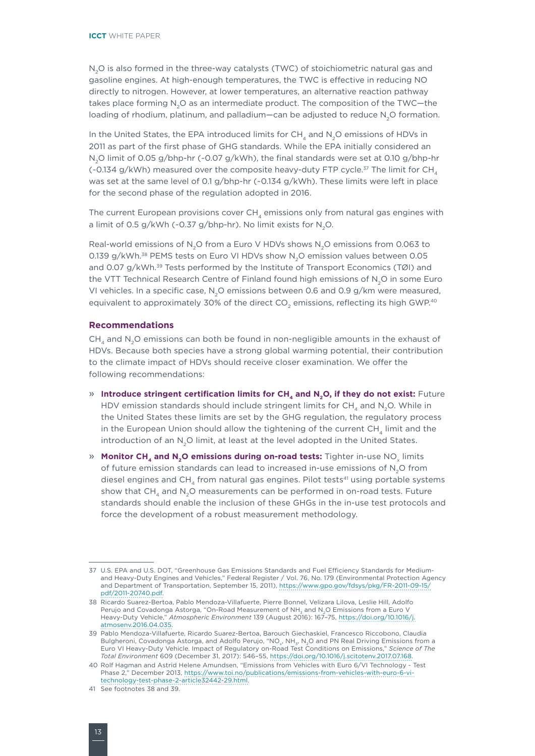N<sub>2</sub>O is also formed in the three-way catalysts (TWC) of stoichiometric natural gas and gasoline engines. At high-enough temperatures, the TWC is effective in reducing NO directly to nitrogen. However, at lower temperatures, an alternative reaction pathway takes place forming N<sub>2</sub>O as an intermediate product. The composition of the TWC-the loading of rhodium, platinum, and palladium—can be adjusted to reduce N<sub>2</sub>O formation.

In the United States, the EPA introduced limits for CH<sub>4</sub> and N<sub>2</sub>O emissions of HDVs in 2011 as part of the first phase of GHG standards. While the EPA initially considered an N<sub>2</sub>O limit of 0.05 g/bhp-hr (~0.07 g/kWh), the final standards were set at 0.10 g/bhp-hr (~0.134 g/kWh) measured over the composite heavy-duty FTP cycle.<sup>37</sup> The limit for CH<sub>4</sub> was set at the same level of 0.1 g/bhp-hr (~0.134 g/kWh). These limits were left in place for the second phase of the regulation adopted in 2016.

The current European provisions cover CH, emissions only from natural gas engines with a limit of 0.5 g/kWh (~0.37 g/bhp-hr). No limit exists for  $N_2O$ .

Real-world emissions of N<sub>2</sub>O from a Euro V HDVs shows N<sub>2</sub>O emissions from 0.063 to 0.139 g/kWh.<sup>38</sup> PEMS tests on Euro VI HDVs show N<sub>2</sub>O emission values between 0.05 and 0.07  $g/kWh$ .<sup>39</sup> Tests performed by the Institute of Transport Economics (TØI) and the VTT Technical Research Centre of Finland found high emissions of N<sub>2</sub>O in some Euro VI vehicles. In a specific case, N<sub>2</sub>O emissions between 0.6 and 0.9  $g/km$  were measured, equivalent to approximately 30% of the direct CO<sub>2</sub> emissions, reflecting its high GWP.<sup>40</sup>

## **Recommendations**

 $CH<sub>4</sub>$  and N<sub>2</sub>O emissions can both be found in non-negligible amounts in the exhaust of HDVs. Because both species have a strong global warming potential, their contribution to the climate impact of HDVs should receive closer examination. We offer the following recommendations:

- » **Introduce stringent certification limits for CH<sub>4</sub> and N<sub>2</sub>O, if they do not exist: Future** HDV emission standards should include stringent limits for  $CH<sub>4</sub>$  and N<sub>2</sub>O. While in the United States these limits are set by the GHG regulation, the regulatory process in the European Union should allow the tightening of the current CH<sub>4</sub> limit and the introduction of an N<sub>2</sub>O limit, at least at the level adopted in the United States.
- » Monitor CH<sub>4</sub> and N<sub>2</sub>O emissions during on-road tests: Tighter in-use NO<sub>y</sub> limits of future emission standards can lead to increased in-use emissions of N<sub>2</sub>O from diesel engines and  $CH_4$  from natural gas engines. Pilot tests<sup>41</sup> using portable systems show that CH<sub>4</sub> and N<sub>2</sub>O measurements can be performed in on-road tests. Future standards should enable the inclusion of these GHGs in the in-use test protocols and force the development of a robust measurement methodology.

<sup>37</sup> U.S. EPA and U.S. DOT, "Greenhouse Gas Emissions Standards and Fuel Efficiency Standards for Mediumand Heavy-Duty Engines and Vehicles," Federal Register / Vol. 76, No. 179 (Environmental Protection Agency and Department of Transportation, September 15, 2011), [https://www.gpo.gov/fdsys/pkg/FR-2011-09-15/](https://www.gpo.gov/fdsys/pkg/FR-2011-09-15/pdf/2011-20740.pdf) [pdf/2011-20740.pdf.](https://www.gpo.gov/fdsys/pkg/FR-2011-09-15/pdf/2011-20740.pdf)

<sup>38</sup> Ricardo Suarez-Bertoa, Pablo Mendoza-Villafuerte, Pierre Bonnel, Velizara Lilova, Leslie Hill, Adolfo Perujo and Covadonga Astorga, "On-Road Measurement of NH<sub>2</sub> and N<sub>2</sub>O Emissions from a Euro ' Heavy-Duty Vehicle," *Atmospheric Environment* 139 (August 2016): 167–75, [https://doi.org/10.1016/j.](https://doi.org/10.1016/j.atmosenv.2016.04.035) [atmosenv.2016.04.035.](https://doi.org/10.1016/j.atmosenv.2016.04.035)

<sup>39</sup> Pablo Mendoza-Villafuerte, Ricardo Suarez-Bertoa, Barouch Giechaskiel, Francesco Riccobono, Claudia Bulgheroni, Covadonga Astorga, and Adolfo Perujo, "NO<sub>x</sub>, NH<sub>3</sub>, N<sub>2</sub>O and PN Real Driving Emissions from a Euro VI Heavy-Duty Vehicle. Impact of Regulatory on-Road Test Conditions on Emissions," *Science of The Total Environment* 609 (December 31, 2017): 546–55, <https://doi.org/10.1016/j.scitotenv.2017.07.168>.

<sup>40</sup> Rolf Hagman and Astrid Helene Amundsen, "Emissions from Vehicles with Euro 6/VI Technology - Test Phase 2," December 2013, [https://www.toi.no/publications/emissions-from-vehicles-with-euro-6-vi](https://www.toi.no/publications/emissions-from-vehicles-with-euro-6-vi-technology-test-phase-2-article32442-29.html)[technology-test-phase-2-article32442-29.html.](https://www.toi.no/publications/emissions-from-vehicles-with-euro-6-vi-technology-test-phase-2-article32442-29.html)

<sup>41</sup> See footnotes 38 and 39.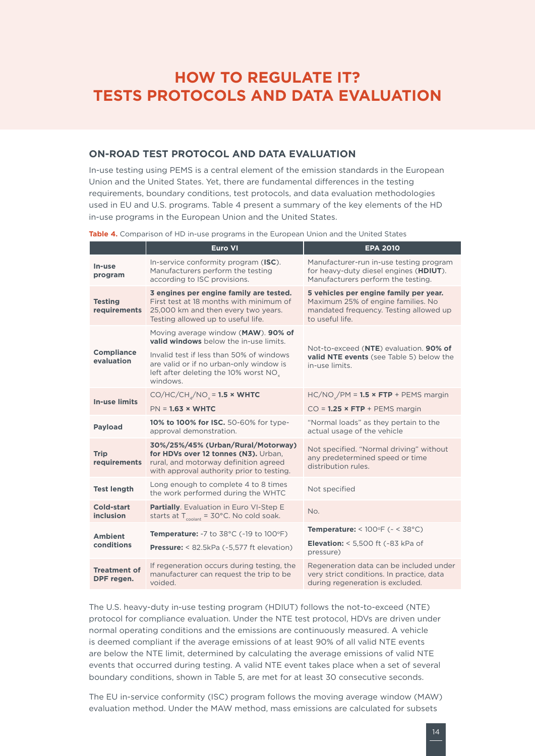## <span id="page-18-0"></span>**HOW TO REGULATE IT? TESTS PROTOCOLS AND DATA EVALUATION**

## <span id="page-18-1"></span>**ON-ROAD TEST PROTOCOL AND DATA EVALUATION**

In-use testing using PEMS is a central element of the emission standards in the European Union and the United States. Yet, there are fundamental differences in the testing requirements, boundary conditions, test protocols, and data evaluation methodologies used in EU and U.S. programs. Table 4 present a summary of the key elements of the HD in-use programs in the European Union and the United States.

**Table 4.** Comparison of HD in-use programs in the European Union and the United States

<span id="page-18-2"></span>

| Euro VI                                                                                                                                                                                                                               | <b>EPA 2010</b>                                                                                                                            |  |  |  |
|---------------------------------------------------------------------------------------------------------------------------------------------------------------------------------------------------------------------------------------|--------------------------------------------------------------------------------------------------------------------------------------------|--|--|--|
| In-service conformity program (ISC).<br>Manufacturers perform the testing<br>according to ISC provisions.                                                                                                                             | Manufacturer-run in-use testing program<br>for heavy-duty diesel engines (HDIUT).<br>Manufacturers perform the testing.                    |  |  |  |
| 3 engines per engine family are tested.<br>First test at 18 months with minimum of<br>25,000 km and then every two years.<br>Testing allowed up to useful life.                                                                       | 5 vehicles per engine family per year.<br>Maximum 25% of engine families. No<br>mandated frequency. Testing allowed up<br>to useful life.  |  |  |  |
| Moving average window (MAW). 90% of<br>valid windows below the in-use limits.<br>Invalid test if less than 50% of windows<br>are valid or if no urban-only window is<br>left after deleting the 10% worst NO <sub>y</sub><br>windows. | Not-to-exceed (NTE) evaluation. 90% of<br>valid NTE events (see Table 5) below the<br>in-use limits.                                       |  |  |  |
| $CO/HC/CH_{a}/NO_{y} = 1.5 \times WHTC$                                                                                                                                                                                               | $HC/NO_x/PM = 1.5 \times FTP + PENS$ margin                                                                                                |  |  |  |
|                                                                                                                                                                                                                                       | $CO = 1.25 \times FTP + PENS$ margin                                                                                                       |  |  |  |
| approval demonstration.                                                                                                                                                                                                               | "Normal loads" as they pertain to the<br>actual usage of the vehicle                                                                       |  |  |  |
| 30%/25%/45% (Urban/Rural/Motorway)<br>for HDVs over 12 tonnes (N3). Urban,<br>rural, and motorway definition agreed<br>with approval authority prior to testing.                                                                      | Not specified. "Normal driving" without<br>any predetermined speed or time<br>distribution rules.                                          |  |  |  |
| Long enough to complete 4 to 8 times<br>the work performed during the WHTC                                                                                                                                                            | Not specified                                                                                                                              |  |  |  |
| Partially. Evaluation in Euro VI-Step E<br>starts at $T_{\text{colast}} = 30^{\circ}$ C. No cold soak.                                                                                                                                | No.                                                                                                                                        |  |  |  |
|                                                                                                                                                                                                                                       | Temperature: < $100^{\circ}F$ ( $\sim$ < $38^{\circ}C$ )                                                                                   |  |  |  |
| <b>Pressure:</b> $< 82.5kPa$ $\left(\frac{1}{2}5.577 \text{ ft}$ elevation)                                                                                                                                                           | <b>Elevation:</b> $<$ 5,500 ft ( $\sim$ 83 kPa of<br>pressure)                                                                             |  |  |  |
| If regeneration occurs during testing, the<br>manufacturer can request the trip to be<br>voided.                                                                                                                                      | Regeneration data can be included under<br>very strict conditions. In practice, data<br>during regeneration is excluded.                   |  |  |  |
|                                                                                                                                                                                                                                       | $PN = 1.63 \times WHTC$<br>10% to 100% for ISC. 50-60% for type-<br><b>Temperature:</b> $-7$ to $38^{\circ}$ C ( $-19$ to $100^{\circ}$ F) |  |  |  |

The U.S. heavy-duty in-use testing program (HDIUT) follows the not-to-exceed (NTE) protocol for compliance evaluation. Under the NTE test protocol, HDVs are driven under normal operating conditions and the emissions are continuously measured. A vehicle is deemed compliant if the average emissions of at least 90% of all valid NTE events are below the NTE limit, determined by calculating the average emissions of valid NTE events that occurred during testing. A valid NTE event takes place when a set of several boundary conditions, shown in [Table 5](#page-19-0), are met for at least 30 consecutive seconds.

The EU in-service conformity (ISC) program follows the moving average window (MAW) evaluation method. Under the MAW method, mass emissions are calculated for subsets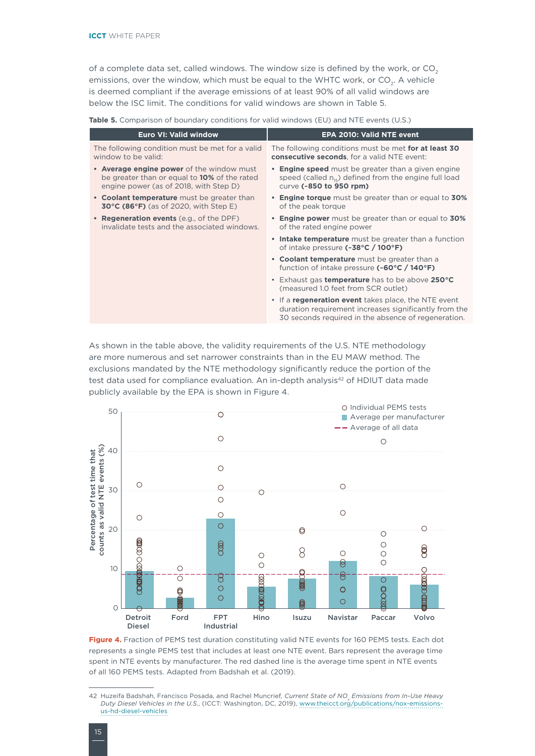of a complete data set, called windows. The window size is defined by the work, or  $CO<sub>2</sub>$ emissions, over the window, which must be equal to the WHTC work, or  $CO<sub>2</sub>$ . A vehicle is deemed compliant if the average emissions of at least 90% of all valid windows are below the ISC limit. The conditions for valid windows are shown in [Table 5](#page-19-0).

<span id="page-19-0"></span>**Table 5.** Comparison of boundary conditions for valid windows (EU) and NTE events (U.S.)

| The following conditions must be met for at least 30<br><b>consecutive seconds</b> , for a valid NTE event:                                                          |
|----------------------------------------------------------------------------------------------------------------------------------------------------------------------|
| • Engine speed must be greater than a given engine<br>speed (called $n_{15}$ ) defined from the engine full load                                                     |
| • Engine torque must be greater than or equal to 30%                                                                                                                 |
| • Engine power must be greater than or equal to 30%                                                                                                                  |
| • Intake temperature must be greater than a function                                                                                                                 |
| • Coolant temperature must be greater than a<br>function of intake pressure $(*60°C / 140°F)$                                                                        |
| • Exhaust gas temperature has to be above 250°C                                                                                                                      |
| • If a regeneration event takes place, the NTE event<br>duration requirement increases significantly from the<br>30 seconds required in the absence of regeneration. |
|                                                                                                                                                                      |

As shown in the table above, the validity requirements of the U.S. NTE methodology are more numerous and set narrower constraints than in the EU MAW method. The exclusions mandated by the NTE methodology significantly reduce the portion of the test data used for compliance evaluation. An in-depth analysis<sup>42</sup> of HDIUT data made publicly available by the EPA is shown in [Figure 4](#page-19-1).



<span id="page-19-1"></span>**Figure 4.** Fraction of PEMS test duration constituting valid NTE events for 160 PEMS tests. Each dot represents a single PEMS test that includes at least one NTE event. Bars represent the average time spent in NTE events by manufacturer. The red dashed line is the average time spent in NTE events of all 160 PEMS tests. Adapted from Badshah et al. (2019).

<sup>42</sup> Huzeifa Badshah, Francisco Posada, and Rachel Muncrief, *Current State of NO<sub>x</sub> Emissions from In-Use Heavy Duty Diesel Vehicles in the U.S.*, (ICCT: Washington, DC, 2019), [www.theicct.org/publications/nox-emissions](www.theicct.org/publications/nox-emissions-us-hd-diesel-vehicles)[us-hd-diesel-vehicles](www.theicct.org/publications/nox-emissions-us-hd-diesel-vehicles)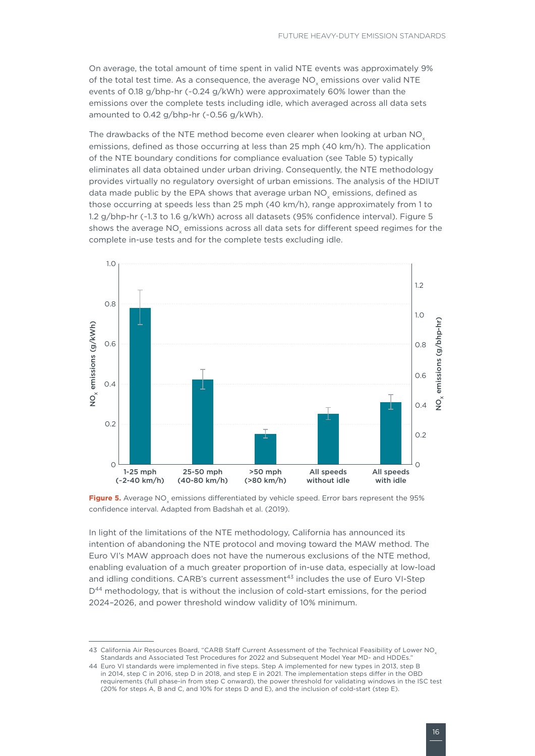On average, the total amount of time spent in valid NTE events was approximately 9% of the total test time. As a consequence, the average NO<sub>v</sub> emissions over valid NTE events of 0.18 g/bhp-hr (~0.24 g/kWh) were approximately 60% lower than the emissions over the complete tests including idle, which averaged across all data sets amounted to 0.42 g/bhp-hr (~0.56 g/kWh).

The drawbacks of the NTE method become even clearer when looking at urban NOx emissions, defined as those occurring at less than 25 mph (40 km/h). The application of the NTE boundary conditions for compliance evaluation (see [Table](#page-19-0) 5) typically eliminates all data obtained under urban driving. Consequently, the NTE methodology provides virtually no regulatory oversight of urban emissions. The analysis of the HDIUT data made public by the EPA shows that average urban NO emissions, defined as those occurring at speeds less than 25 mph (40 km/h), range approximately from 1 to 1.2 g/bhp-hr (~1.3 to 1.6 g/kWh) across all datasets (95% confidence interval). [Figure](#page-20-0) 5 shows the average NO<sub>v</sub> emissions across all data sets for different speed regimes for the complete in-use tests and for the complete tests excluding idle.



<span id="page-20-0"></span>**Figure 5.** Average NO<sub>c</sub> emissions differentiated by vehicle speed. Error bars represent the 95% confidence interval. Adapted from Badshah et al. (2019).

In light of the limitations of the NTE methodology, California has announced its intention of abandoning the NTE protocol and moving toward the MAW method. The Euro VI's MAW approach does not have the numerous exclusions of the NTE method, enabling evaluation of a much greater proportion of in-use data, especially at low-load and idling conditions. CARB's current assessment<sup>43</sup> includes the use of Euro VI-Step  $D<sup>44</sup>$  methodology, that is without the inclusion of cold-start emissions, for the period 2024–2026, and power threshold window validity of 10% minimum.

<sup>43</sup> California Air Resources Board, "CARB Staff Current Assessment of the Technical Feasibility of Lower NO<sub>v</sub> Standards and Associated Test Procedures for 2022 and Subsequent Model Year MD- and HDDEs."

<sup>44</sup> Euro VI standards were implemented in five steps. Step A implemented for new types in 2013, step B in 2014, step C in 2016, step D in 2018, and step E in 2021. The implementation steps differ in the OBD requirements (full phase-in from step C onward), the power threshold for validating windows in the ISC test (20% for steps A, B and C, and 10% for steps D and E), and the inclusion of cold-start (step E).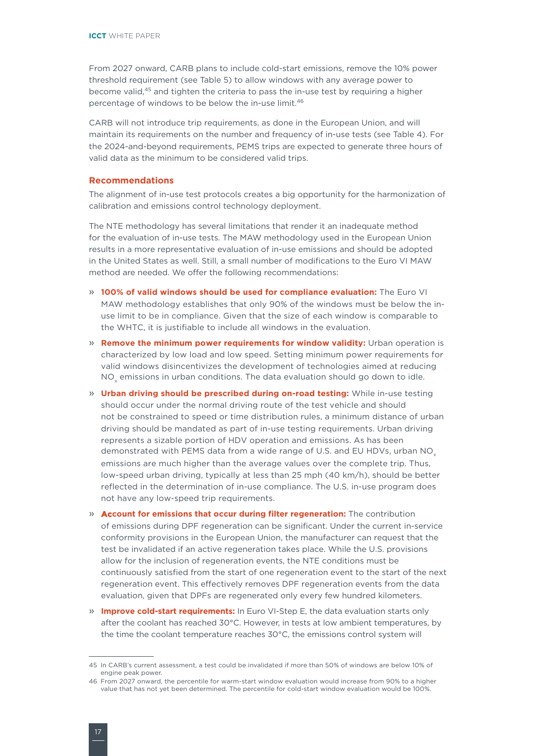From 2027 onward, CARB plans to include cold-start emissions, remove the 10% power threshold requirement (see [Table 5](#page-19-0)) to allow windows with any average power to become valid,45 and tighten the criteria to pass the in-use test by requiring a higher percentage of windows to be below the in-use limit.<sup>46</sup>

CARB will not introduce trip requirements, as done in the European Union, and will maintain its requirements on the number and frequency of in-use tests (see [Table 4](#page-18-2)). For the 2024-and-beyond requirements, PEMS trips are expected to generate three hours of valid data as the minimum to be considered valid trips.

### **Recommendations**

The alignment of in-use test protocols creates a big opportunity for the harmonization of calibration and emissions control technology deployment.

The NTE methodology has several limitations that render it an inadequate method for the evaluation of in-use tests. The MAW methodology used in the European Union results in a more representative evaluation of in-use emissions and should be adopted in the United States as well. Still, a small number of modifications to the Euro VI MAW method are needed. We offer the following recommendations:

- » **100% of valid windows should be used for compliance evaluation:** The Euro VI MAW methodology establishes that only 90% of the windows must be below the inuse limit to be in compliance. Given that the size of each window is comparable to the WHTC, it is justifiable to include all windows in the evaluation.
- » **Remove the minimum power requirements for window validity:** Urban operation is characterized by low load and low speed. Setting minimum power requirements for valid windows disincentivizes the development of technologies aimed at reducing  $\overline{\mathsf{NO}}_\mathsf{x}$  emissions in urban conditions. The data evaluation should go down to idle.
- » **Urban driving should be prescribed during on-road testing:** While in-use testing should occur under the normal driving route of the test vehicle and should not be constrained to speed or time distribution rules, a minimum distance of urban driving should be mandated as part of in-use testing requirements. Urban driving represents a sizable portion of HDV operation and emissions. As has been demonstrated with PEMS data from a wide range of U.S. and EU HDVs, urban NO<sub>x</sub>. emissions are much higher than the average values over the complete trip. Thus, low-speed urban driving, typically at less than 25 mph (40 km/h), should be better reflected in the determination of in-use compliance. The U.S. in-use program does not have any low-speed trip requirements.
- » **Account for emissions that occur during filter regeneration:** The contribution of emissions during DPF regeneration can be significant. Under the current in-service conformity provisions in the European Union, the manufacturer can request that the test be invalidated if an active regeneration takes place. While the U.S. provisions allow for the inclusion of regeneration events, the NTE conditions must be continuously satisfied from the start of one regeneration event to the start of the next regeneration event. This effectively removes DPF regeneration events from the data evaluation, given that DPFs are regenerated only every few hundred kilometers.
- » **Improve cold-start requirements:** In Euro VI-Step E, the data evaluation starts only after the coolant has reached 30°C. However, in tests at low ambient temperatures, by the time the coolant temperature reaches 30°C, the emissions control system will

<sup>45</sup> In CARB's current assessment, a test could be invalidated if more than 50% of windows are below 10% of engine peak power.

<sup>46</sup> From 2027 onward, the percentile for warm-start window evaluation would increase from 90% to a higher value that has not yet been determined. The percentile for cold-start window evaluation would be 100%.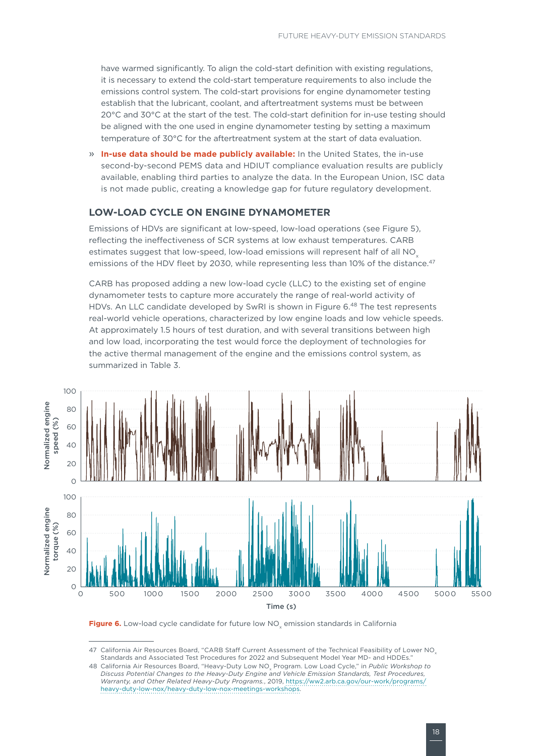<span id="page-22-0"></span>have warmed significantly. To align the cold-start definition with existing regulations, it is necessary to extend the cold-start temperature requirements to also include the emissions control system. The cold-start provisions for engine dynamometer testing establish that the lubricant, coolant, and aftertreatment systems must be between 20°C and 30°C at the start of the test. The cold-start definition for in-use testing should be aligned with the one used in engine dynamometer testing by setting a maximum temperature of 30°C for the aftertreatment system at the start of data evaluation.

» **In-use data should be made publicly available:** In the United States, the in-use second-by-second PEMS data and HDIUT compliance evaluation results are publicly available, enabling third parties to analyze the data. In the European Union, ISC data is not made public, creating a knowledge gap for future regulatory development.

## **LOW-LOAD CYCLE ON ENGINE DYNAMOMETER**

Emissions of HDVs are significant at low-speed, low-load operations (see [Figure 5](#page-20-0)), reflecting the ineffectiveness of SCR systems at low exhaust temperatures. CARB estimates suggest that low-speed, low-load emissions will represent half of all NO emissions of the HDV fleet by 2030, while representing less than 10% of the distance.<sup>47</sup>

CARB has proposed adding a new low-load cycle (LLC) to the existing set of engine dynamometer tests to capture more accurately the range of real-world activity of HDVs. An LLC candidate developed by SwRI is shown in [Figure 6](#page-22-1).<sup>48</sup> The test represents real-world vehicle operations, characterized by low engine loads and low vehicle speeds. At approximately 1.5 hours of test duration, and with several transitions between high and low load, incorporating the test would force the deployment of technologies for the active thermal management of the engine and the emissions control system, as summarized in Table 3.



<span id="page-22-1"></span>Figure 6. Low-load cycle candidate for future low NO<sub>v</sub> emission standards in California

<sup>47</sup> California Air Resources Board, "CARB Staff Current Assessment of the Technical Feasibility of Lower NO<sub>v</sub> Standards and Associated Test Procedures for 2022 and Subsequent Model Year MD- and HDDEs."

<sup>48</sup> California Air Resources Board, "Heavy-Duty Low NO<sub>v</sub> Program. Low Load Cycle," in *Public Workshop to Discuss Potential Changes to the Heavy-Duty Engine and Vehicle Emission Standards, Test Procedures, Warranty, and Other Related Heavy-Duty Programs.*, 2019, [https://ww2.arb.ca.gov/our-work/programs/](https://ww2.arb.ca.gov/our-work/programs/heavy-duty-low-nox/heavy-duty-low-nox-meetings-workshops) [heavy-duty-low-nox/heavy-duty-low-nox-meetings-workshops.](https://ww2.arb.ca.gov/our-work/programs/heavy-duty-low-nox/heavy-duty-low-nox-meetings-workshops)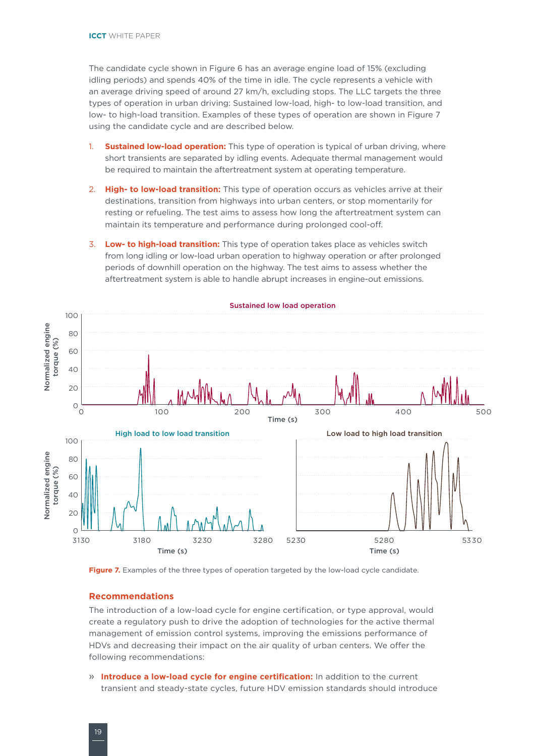The candidate cycle shown in [Figure](#page-22-1) 6 has an average engine load of 15% (excluding idling periods) and spends 40% of the time in idle. The cycle represents a vehicle with an average driving speed of around 27 km/h, excluding stops. The LLC targets the three types of operation in urban driving: Sustained low-load, high- to low-load transition, and low- to high-load transition. Examples of these types of operation are shown in [Figure 7](#page-23-0) using the candidate cycle and are described below.

- 1. **Sustained low-load operation:** This type of operation is typical of urban driving, where short transients are separated by idling events. Adequate thermal management would be required to maintain the aftertreatment system at operating temperature.
- 2. **High- to low-load transition:** This type of operation occurs as vehicles arrive at their destinations, transition from highways into urban centers, or stop momentarily for resting or refueling. The test aims to assess how long the aftertreatment system can maintain its temperature and performance during prolonged cool-off.
- 3. **Low- to high-load transition:** This type of operation takes place as vehicles switch from long idling or low-load urban operation to highway operation or after prolonged periods of downhill operation on the highway. The test aims to assess whether the aftertreatment system is able to handle abrupt increases in engine-out emissions.



#### Sustained low load operation

<span id="page-23-0"></span>Figure 7. Examples of the three types of operation targeted by the low-load cycle candidate.

### **Recommendations**

The introduction of a low-load cycle for engine certification, or type approval, would create a regulatory push to drive the adoption of technologies for the active thermal management of emission control systems, improving the emissions performance of HDVs and decreasing their impact on the air quality of urban centers. We offer the following recommendations:

» **Introduce a low-load cycle for engine certification:** In addition to the current transient and steady-state cycles, future HDV emission standards should introduce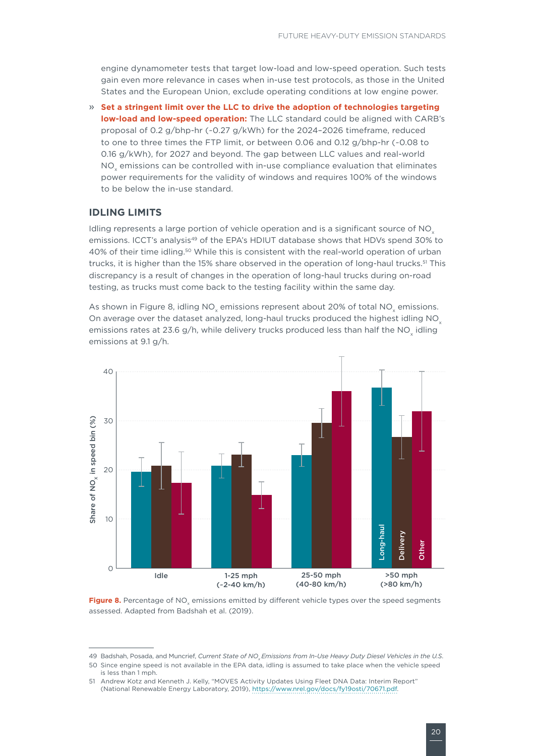<span id="page-24-0"></span>engine dynamometer tests that target low-load and low-speed operation. Such tests gain even more relevance in cases when in-use test protocols, as those in the United States and the European Union, exclude operating conditions at low engine power.

» **Set a stringent limit over the LLC to drive the adoption of technologies targeting low-load and low-speed operation:** The LLC standard could be aligned with CARB's proposal of 0.2 g/bhp-hr (~0.27 g/kWh) for the 2024–2026 timeframe, reduced to one to three times the FTP limit, or between 0.06 and 0.12 g/bhp-hr (~0.08 to 0.16 g/kWh), for 2027 and beyond. The gap between LLC values and real-world NO<sub>v</sub> emissions can be controlled with in-use compliance evaluation that eliminates power requirements for the validity of windows and requires 100% of the windows to be below the in-use standard.

## **IDLING LIMITS**

Idling represents a large portion of vehicle operation and is a significant source of  $NO<sub>x</sub>$ emissions. ICCT's analysis<sup>49</sup> of the EPA's HDIUT database shows that HDVs spend 30% to 40% of their time idling.50 While this is consistent with the real-world operation of urban trucks, it is higher than the 15% share observed in the operation of long-haul trucks.<sup>51</sup> This discrepancy is a result of changes in the operation of long-haul trucks during on-road testing, as trucks must come back to the testing facility within the same day.

As shown in Figure 8, idling NO<sub>x</sub> emissions represent about 20% of total NO<sub>x</sub> emissions. On average over the dataset analyzed, long-haul trucks produced the highest idling NO<sub>x</sub> emissions rates at 23.6 g/h, while delivery trucks produced less than half the NO<sub>x</sub> idling emissions at 9.1 g/h.



Figure 8. Percentage of NO<sub>v</sub> emissions emitted by different vehicle types over the speed segments assessed. Adapted from Badshah et al. (2019).

<sup>49</sup> Badshah, Posada, and Muncrief, *Current State of NO Emissions from In-Use Heavy Duty Diesel Vehicles in the U.S.* 

<sup>50</sup> Since engine speed is not available in the EPA data, idling is assumed to take place when the vehicle speed is less than 1 mph.

<sup>51</sup> Andrew Kotz and Kenneth J. Kelly, "MOVES Activity Updates Using Fleet DNA Data: Interim Report" (National Renewable Energy Laboratory, 2019), [https://www.nrel.gov/docs/fy19osti/70671.pdf.](https://www.nrel.gov/docs/fy19osti/70671.pdf)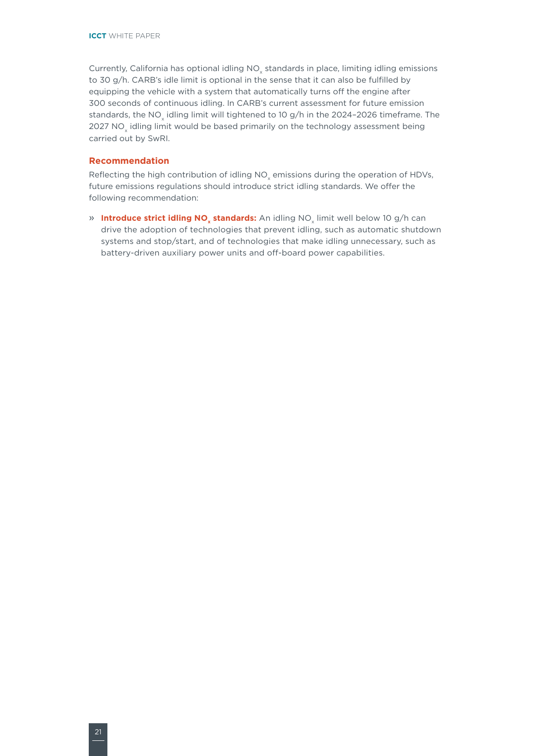Currently, California has optional idling  $NO<sub>x</sub>$  standards in place, limiting idling emissions to 30 g/h. CARB's idle limit is optional in the sense that it can also be fulfilled by equipping the vehicle with a system that automatically turns off the engine after 300 seconds of continuous idling. In CARB's current assessment for future emission standards, the NO<sub>v</sub> idling limit will tightened to 10 g/h in the 2024-2026 timeframe. The 2027 NO<sub>v</sub> idling limit would be based primarily on the technology assessment being carried out by SwRI.

## **Recommendation**

Reflecting the high contribution of idling  $NO<sub>x</sub>$  emissions during the operation of HDVs, future emissions regulations should introduce strict idling standards. We offer the following recommendation:

» **Introduce strict idling NO<sub>y</sub> standards:** An idling NO<sub>y</sub> limit well below 10 g/h can drive the adoption of technologies that prevent idling, such as automatic shutdown systems and stop/start, and of technologies that make idling unnecessary, such as battery-driven auxiliary power units and off-board power capabilities.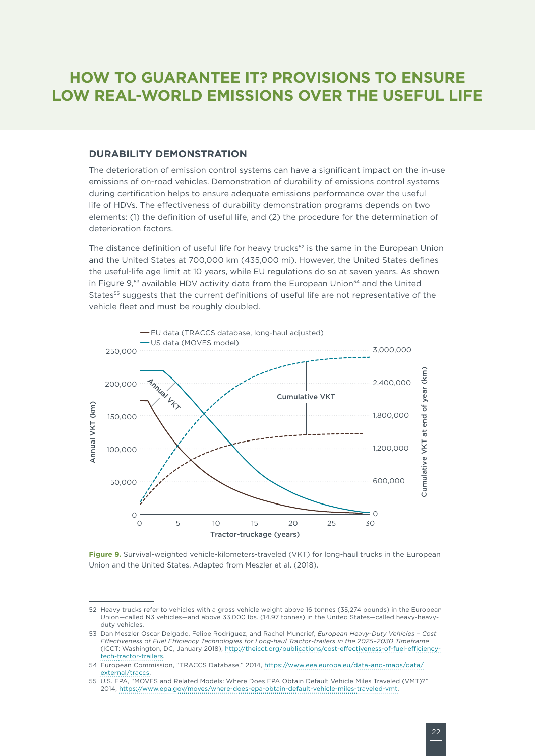## <span id="page-26-0"></span>**HOW TO GUARANTEE IT? PROVISIONS TO ENSURE LOW REAL-WORLD EMISSIONS OVER THE USEFUL LIFE**

## **DURABILITY DEMONSTRATION**

The deterioration of emission control systems can have a significant impact on the in-use emissions of on-road vehicles. Demonstration of durability of emissions control systems during certification helps to ensure adequate emissions performance over the useful life of HDVs. The effectiveness of durability demonstration programs depends on two elements: (1) the definition of useful life, and (2) the procedure for the determination of deterioration factors.

The distance definition of useful life for heavy trucks<sup>52</sup> is the same in the European Union and the United States at 700,000 km (435,000 mi). However, the United States defines the useful-life age limit at 10 years, while EU regulations do so at seven years. As shown in [Figure 9](#page-26-1),53 available HDV activity data from the European Union<sup>54</sup> and the United States<sup>55</sup> suggests that the current definitions of useful life are not representative of the vehicle fleet and must be roughly doubled.



<span id="page-26-1"></span>**Figure 9.** Survival-weighted vehicle-kilometers-traveled (VKT) for long-haul trucks in the European Union and the United States. Adapted from Meszler et al. (2018).

<sup>52</sup> Heavy trucks refer to vehicles with a gross vehicle weight above 16 tonnes (35,274 pounds) in the European Union—called N3 vehicles—and above 33,000 lbs. (14.97 tonnes) in the United States—called heavy-heavyduty vehicles.

<sup>53</sup> Dan Meszler Oscar Delgado, Felipe Rodríguez, and Rachel Muncrief, *European Heavy-Duty Vehicles – Cost Effectiveness of Fuel Efficiency Technologies for Long-haul Tractor-trailers in the 2025–2030 Timeframe* (ICCT: Washington, DC, January 2018), [http://theicct.org/publications/cost-effectiveness-of-fuel-efficiency](http://theicct.org/publications/cost-effectiveness-of-fuel-efficiency-tech-tractor-trailers)[tech-tractor-trailers.](http://theicct.org/publications/cost-effectiveness-of-fuel-efficiency-tech-tractor-trailers)

<sup>54</sup> European Commission, "TRACCS Database," 2014, [https://www.eea.europa.eu/data-and-maps/data/](https://www.eea.europa.eu/data-and-maps/data/external/traccs) [external/traccs](https://www.eea.europa.eu/data-and-maps/data/external/traccs).

<sup>55</sup> U.S. EPA, "MOVES and Related Models: Where Does EPA Obtain Default Vehicle Miles Traveled (VMT)?" 2014, [https://www.epa.gov/moves/where-does-epa-obtain-default-vehicle-miles-traveled-vmt.](https://www.epa.gov/moves/where-does-epa-obtain-default-vehicle-miles-traveled-vmt)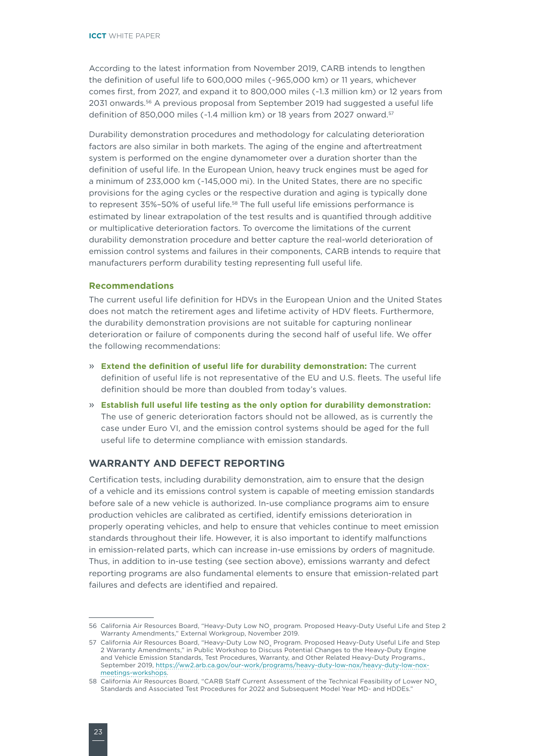<span id="page-27-0"></span>According to the latest information from November 2019, CARB intends to lengthen the definition of useful life to 600,000 miles (~965,000 km) or 11 years, whichever comes first, from 2027, and expand it to 800,000 miles (~1.3 million km) or 12 years from 2031 onwards.56 A previous proposal from September 2019 had suggested a useful life definition of 850,000 miles (~1.4 million km) or 18 years from 2027 onward.<sup>57</sup>

Durability demonstration procedures and methodology for calculating deterioration factors are also similar in both markets. The aging of the engine and aftertreatment system is performed on the engine dynamometer over a duration shorter than the definition of useful life. In the European Union, heavy truck engines must be aged for a minimum of 233,000 km (~145,000 mi). In the United States, there are no specific provisions for the aging cycles or the respective duration and aging is typically done to represent 35%-50% of useful life.<sup>58</sup> The full useful life emissions performance is estimated by linear extrapolation of the test results and is quantified through additive or multiplicative deterioration factors. To overcome the limitations of the current durability demonstration procedure and better capture the real-world deterioration of emission control systems and failures in their components, CARB intends to require that manufacturers perform durability testing representing full useful life.

## **Recommendations**

The current useful life definition for HDVs in the European Union and the United States does not match the retirement ages and lifetime activity of HDV fleets. Furthermore, the durability demonstration provisions are not suitable for capturing nonlinear deterioration or failure of components during the second half of useful life. We offer the following recommendations:

- » **Extend the definition of useful life for durability demonstration:** The current definition of useful life is not representative of the EU and U.S. fleets. The useful life definition should be more than doubled from today's values.
- » **Establish full useful life testing as the only option for durability demonstration:** The use of generic deterioration factors should not be allowed, as is currently the case under Euro VI, and the emission control systems should be aged for the full useful life to determine compliance with emission standards.

## **WARRANTY AND DEFECT REPORTING**

Certification tests, including durability demonstration, aim to ensure that the design of a vehicle and its emissions control system is capable of meeting emission standards before sale of a new vehicle is authorized. In-use compliance programs aim to ensure production vehicles are calibrated as certified, identify emissions deterioration in properly operating vehicles, and help to ensure that vehicles continue to meet emission standards throughout their life. However, it is also important to identify malfunctions in emission-related parts, which can increase in-use emissions by orders of magnitude. Thus, in addition to in-use testing (see section above), emissions warranty and defect reporting programs are also fundamental elements to ensure that emission-related part failures and defects are identified and repaired.

<sup>56</sup> California Air Resources Board, "Heavy-Duty Low NO program. Proposed Heavy-Duty Useful Life and Step 2 Warranty Amendments," External Workgroup, November 2019.

<sup>57</sup> California Air Resources Board, "Heavy-Duty Low NO<sub>v</sub> Program. Proposed Heavy-Duty Useful Life and Step 2 Warranty Amendments," in Public Workshop to Discuss Potential Changes to the Heavy-Duty Engine and Vehicle Emission Standards, Test Procedures, Warranty, and Other Related Heavy-Duty Programs., September 2019, [https://ww2.arb.ca.gov/our-work/programs/heavy-duty-low-nox/heavy-duty-low-nox](https://ww2.arb.ca.gov/our-work/programs/heavy-duty-low-nox/heavy-duty-low-nox-meetings-workshops)[meetings-workshops.](https://ww2.arb.ca.gov/our-work/programs/heavy-duty-low-nox/heavy-duty-low-nox-meetings-workshops)

<sup>58</sup> California Air Resources Board, "CARB Staff Current Assessment of the Technical Feasibility of Lower NO<sub>x</sub> Standards and Associated Test Procedures for 2022 and Subsequent Model Year MD- and HDDEs."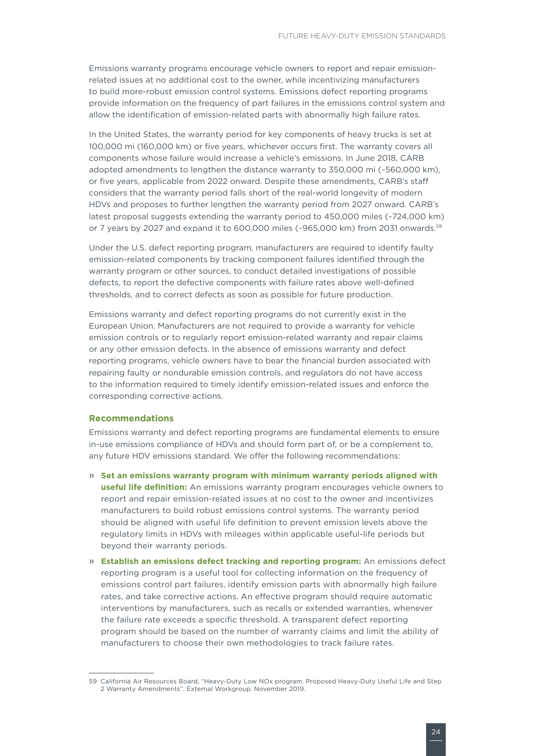Emissions warranty programs encourage vehicle owners to report and repair emissionrelated issues at no additional cost to the owner, while incentivizing manufacturers to build more-robust emission control systems. Emissions defect reporting programs provide information on the frequency of part failures in the emissions control system and allow the identification of emission-related parts with abnormally high failure rates.

In the United States, the warranty period for key components of heavy trucks is set at 100,000 mi (160,000 km) or five years, whichever occurs first. The warranty covers all components whose failure would increase a vehicle's emissions. In June 2018, CARB adopted amendments to lengthen the distance warranty to 350,000 mi (~560,000 km), or five years, applicable from 2022 onward. Despite these amendments, CARB's staff considers that the warranty period falls short of the real-world longevity of modern HDVs and proposes to further lengthen the warranty period from 2027 onward. CARB's latest proposal suggests extending the warranty period to 450,000 miles (~724,000 km) or 7 years by 2027 and expand it to 600,000 miles (~965,000 km) from 2031 onwards.<sup>59</sup>

Under the U.S. defect reporting program, manufacturers are required to identify faulty emission-related components by tracking component failures identified through the warranty program or other sources, to conduct detailed investigations of possible defects, to report the defective components with failure rates above well-defined thresholds, and to correct defects as soon as possible for future production.

Emissions warranty and defect reporting programs do not currently exist in the European Union. Manufacturers are not required to provide a warranty for vehicle emission controls or to regularly report emission-related warranty and repair claims or any other emission defects. In the absence of emissions warranty and defect reporting programs, vehicle owners have to bear the financial burden associated with repairing faulty or nondurable emission controls, and regulators do not have access to the information required to timely identify emission-related issues and enforce the corresponding corrective actions.

### **Recommendations**

Emissions warranty and defect reporting programs are fundamental elements to ensure in-use emissions compliance of HDVs and should form part of, or be a complement to, any future HDV emissions standard. We offer the following recommendations:

- » **Set an emissions warranty program with minimum warranty periods aligned with useful life definition:** An emissions warranty program encourages vehicle owners to report and repair emission-related issues at no cost to the owner and incentivizes manufacturers to build robust emissions control systems. The warranty period should be aligned with useful life definition to prevent emission levels above the regulatory limits in HDVs with mileages within applicable useful-life periods but beyond their warranty periods.
- » **Establish an emissions defect tracking and reporting program:** An emissions defect reporting program is a useful tool for collecting information on the frequency of emissions control part failures, identify emission parts with abnormally high failure rates, and take corrective actions. An effective program should require automatic interventions by manufacturers, such as recalls or extended warranties, whenever the failure rate exceeds a specific threshold. A transparent defect reporting program should be based on the number of warranty claims and limit the ability of manufacturers to choose their own methodologies to track failure rates.

<sup>59</sup> California Air Resources Board, "Heavy-Duty Low NOx program. Proposed Heavy-Duty Useful Life and Step 2 Warranty Amendments". External Workgroup. November 2019.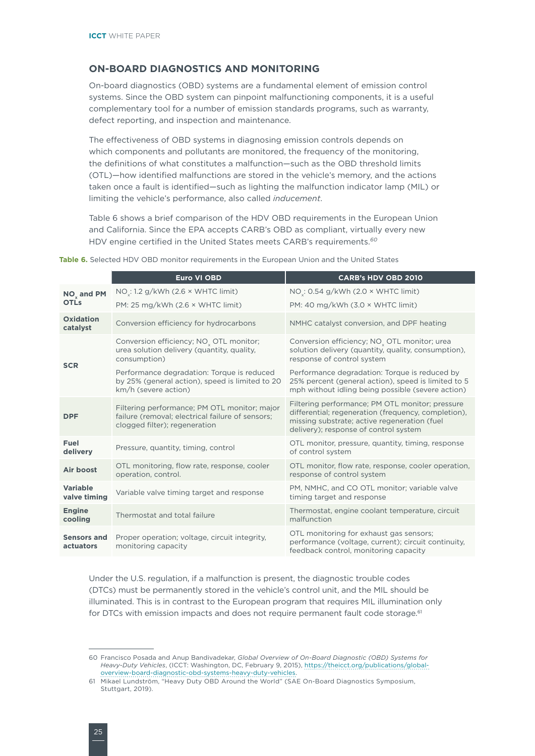## <span id="page-29-0"></span>**ON-BOARD DIAGNOSTICS AND MONITORING**

On-board diagnostics (OBD) systems are a fundamental element of emission control systems. Since the OBD system can pinpoint malfunctioning components, it is a useful complementary tool for a number of emission standards programs, such as warranty, defect reporting, and inspection and maintenance.

The effectiveness of OBD systems in diagnosing emission controls depends on which components and pollutants are monitored, the frequency of the monitoring, the definitions of what constitutes a malfunction—such as the OBD threshold limits (OTL)—how identified malfunctions are stored in the vehicle's memory, and the actions taken once a fault is identified—such as lighting the malfunction indicator lamp (MIL) or limiting the vehicle's performance, also called *inducement*.

Table 6 shows a brief comparison of the HDV OBD requirements in the European Union and California. Since the EPA accepts CARB's OBD as compliant, virtually every new HDV engine certified in the United States meets CARB's requirements.*<sup>60</sup>*

|                                 | <b>Euro VI OBD</b>                                                                                                                | <b>CARB's HDV OBD 2010</b>                                                                                                                                                                      |
|---------------------------------|-----------------------------------------------------------------------------------------------------------------------------------|-------------------------------------------------------------------------------------------------------------------------------------------------------------------------------------------------|
| NO <sub>v</sub> and PM          | $NO_x: 1.2$ g/kWh (2.6 $\times$ WHTC limit)                                                                                       | NO <sub><math>\cdot</math></sub> : 0.54 g/kWh (2.0 $\times$ WHTC limit)                                                                                                                         |
| <b>OTLs</b>                     | PM: 25 mg/kWh $(2.6 \times \text{WHTC limit})$                                                                                    | PM: 40 mg/kWh $(3.0 \times \text{WHTC limit})$                                                                                                                                                  |
| <b>Oxidation</b><br>catalyst    | Conversion efficiency for hydrocarbons                                                                                            | NMHC catalyst conversion, and DPF heating                                                                                                                                                       |
|                                 | Conversion efficiency; NO <sub>x</sub> OTL monitor;<br>urea solution delivery (quantity, quality,<br>consumption)                 | Conversion efficiency; NO <sub>y</sub> OTL monitor; urea<br>solution delivery (quantity, quality, consumption),<br>response of control system                                                   |
| <b>SCR</b>                      | Performance degradation: Torque is reduced<br>by 25% (general action), speed is limited to 20<br>km/h (severe action)             | Performance degradation: Torque is reduced by<br>25% percent (general action), speed is limited to 5<br>mph without idling being possible (severe action)                                       |
| <b>DPF</b>                      | Filtering performance; PM OTL monitor; major<br>failure (removal; electrical failure of sensors;<br>clogged filter); regeneration | Filtering performance; PM OTL monitor; pressure<br>differential; regeneration (frequency, completion),<br>missing substrate; active regeneration (fuel<br>delivery); response of control system |
| Fuel<br>delivery                | Pressure, quantity, timing, control                                                                                               | OTL monitor, pressure, quantity, timing, response<br>of control system                                                                                                                          |
| Air boost                       | OTL monitoring, flow rate, response, cooler<br>operation, control.                                                                | OTL monitor, flow rate, response, cooler operation,<br>response of control system                                                                                                               |
| <b>Variable</b><br>valve timing | Variable valve timing target and response                                                                                         | PM, NMHC, and CO OTL monitor; variable valve<br>timing target and response                                                                                                                      |
| <b>Engine</b><br>cooling        | Thermostat and total failure                                                                                                      | Thermostat, engine coolant temperature, circuit<br>malfunction                                                                                                                                  |
| <b>Sensors and</b><br>actuators | Proper operation; voltage, circuit integrity,<br>monitoring capacity                                                              | OTL monitoring for exhaust gas sensors;<br>performance (voltage, current); circuit continuity,<br>feedback control, monitoring capacity                                                         |

**Table 6.** Selected HDV OBD monitor requirements in the European Union and the United States

Under the U.S. regulation, if a malfunction is present, the diagnostic trouble codes (DTCs) must be permanently stored in the vehicle's control unit, and the MIL should be illuminated. This is in contrast to the European program that requires MIL illumination only for DTCs with emission impacts and does not require permanent fault code storage.<sup>61</sup>

<sup>60</sup> Francisco Posada and Anup Bandivadekar, *Global Overview of On-Board Diagnostic (OBD) Systems for Heavy-Duty Vehicles*, (ICCT: Washington, DC, February 9, 2015), [https://theicct.org/publications/global](https://theicct.org/publications/global-overview-board-diagnostic-obd-systems-heavy-duty-vehicles)[overview-board-diagnostic-obd-systems-heavy-duty-vehicles.](https://theicct.org/publications/global-overview-board-diagnostic-obd-systems-heavy-duty-vehicles)

<sup>61</sup> Mikael Lundström, "Heavy Duty OBD Around the World" (SAE On-Board Diagnostics Symposium, Stuttgart, 2019).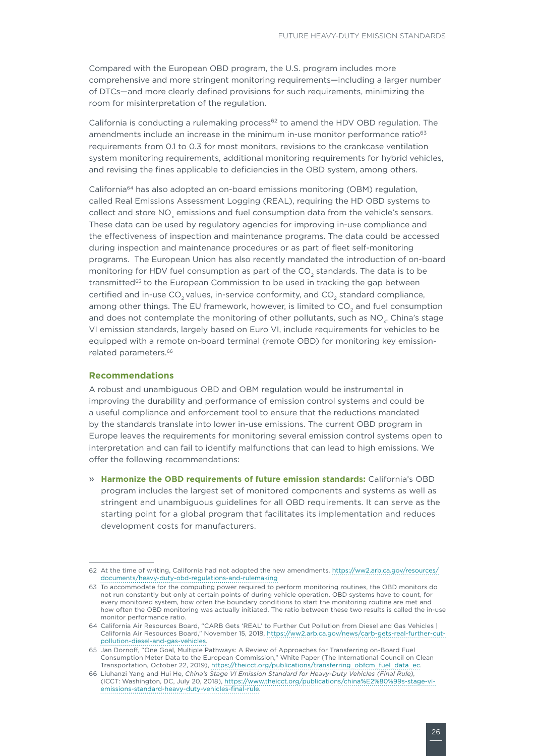Compared with the European OBD program, the U.S. program includes more comprehensive and more stringent monitoring requirements—including a larger number of DTCs—and more clearly defined provisions for such requirements, minimizing the room for misinterpretation of the regulation.

California is conducting a rulemaking process $62$  to amend the HDV OBD regulation. The amendments include an increase in the minimum in-use monitor performance ratio $63$ requirements from 0.1 to 0.3 for most monitors, revisions to the crankcase ventilation system monitoring requirements, additional monitoring requirements for hybrid vehicles, and revising the fines applicable to deficiencies in the OBD system, among others.

California64 has also adopted an on-board emissions monitoring (OBM) regulation, called Real Emissions Assessment Logging (REAL), requiring the HD OBD systems to collect and store NO<sub>y</sub> emissions and fuel consumption data from the vehicle's sensors. These data can be used by regulatory agencies for improving in-use compliance and the effectiveness of inspection and maintenance programs. The data could be accessed during inspection and maintenance procedures or as part of fleet self-monitoring programs. The European Union has also recently mandated the introduction of on-board monitoring for HDV fuel consumption as part of the CO<sub>2</sub> standards. The data is to be transmitted<sup>65</sup> to the European Commission to be used in tracking the gap between certified and in-use CO<sub>2</sub> values, in-service conformity, and CO<sub>2</sub> standard compliance, among other things. The EU framework, however, is limited to CO<sub>2</sub> and fuel consumption and does not contemplate the monitoring of other pollutants, such as NO<sub>x</sub>. China's stage VI emission standards, largely based on Euro VI, include requirements for vehicles to be equipped with a remote on-board terminal (remote OBD) for monitoring key emissionrelated parameters.66

### **Recommendations**

A robust and unambiguous OBD and OBM regulation would be instrumental in improving the durability and performance of emission control systems and could be a useful compliance and enforcement tool to ensure that the reductions mandated by the standards translate into lower in-use emissions. The current OBD program in Europe leaves the requirements for monitoring several emission control systems open to interpretation and can fail to identify malfunctions that can lead to high emissions. We offer the following recommendations:

» **Harmonize the OBD requirements of future emission standards:** California's OBD program includes the largest set of monitored components and systems as well as stringent and unambiguous guidelines for all OBD requirements. It can serve as the starting point for a global program that facilitates its implementation and reduces development costs for manufacturers.

<sup>62</sup> At the time of writing, California had not adopted the new amendments. [https://ww2.arb.ca.gov/resources/](https://ww2.arb.ca.gov/resources/documents/heavy-duty-obd-regulations-and-rulemaking) [documents/heavy-duty-obd-regulations-and-rulemaking](https://ww2.arb.ca.gov/resources/documents/heavy-duty-obd-regulations-and-rulemaking)

<sup>63</sup> To accommodate for the computing power required to perform monitoring routines, the OBD monitors do not run constantly but only at certain points of during vehicle operation. OBD systems have to count, for every monitored system, how often the boundary conditions to start the monitoring routine are met and how often the OBD monitoring was actually initiated. The ratio between these two results is called the in-use monitor performance ratio.

<sup>64</sup> California Air Resources Board, "CARB Gets 'REAL' to Further Cut Pollution from Diesel and Gas Vehicles | California Air Resources Board," November 15, 2018, [https://ww2.arb.ca.gov/news/carb-gets-real-further-cut](https://ww2.arb.ca.gov/news/carb-gets-real-further-cut-pollution-diesel-and-gas-vehicles)[pollution-diesel-and-gas-vehicles](https://ww2.arb.ca.gov/news/carb-gets-real-further-cut-pollution-diesel-and-gas-vehicles).

<sup>65</sup> Jan Dornoff, "One Goal, Multiple Pathways: A Review of Approaches for Transferring on-Board Fuel Consumption Meter Data to the European Commission," White Paper (The International Council on Clean Transportation, October 22, 2019), [https://theicct.org/publications/transferring\\_obfcm\\_fuel\\_data\\_ec.](https://theicct.org/publications/transferring_obfcm_fuel_data_ec)

<sup>66</sup> Liuhanzi Yang and Hui He, *China's Stage VI Emission Standard for Heavy-Duty Vehicles (Final Rule),* (ICCT: Washington, DC, July 20, 2018), [https://www.theicct.org/publications/china%E2%80%99s-stage-vi](https://www.theicct.org/publications/china%E2%80%99s-stage-vi-emissions-standard-heavy-duty-vehicles-final-rule)[emissions-standard-heavy-duty-vehicles-final-rule](https://www.theicct.org/publications/china%E2%80%99s-stage-vi-emissions-standard-heavy-duty-vehicles-final-rule).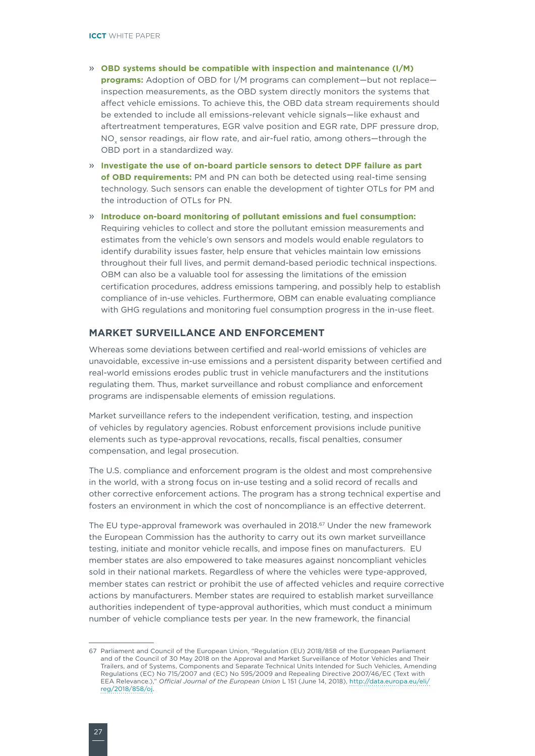- <span id="page-31-0"></span>» **OBD systems should be compatible with inspection and maintenance (I/M) programs:** Adoption of OBD for I/M programs can complement—but not replace inspection measurements, as the OBD system directly monitors the systems that affect vehicle emissions. To achieve this, the OBD data stream requirements should be extended to include all emissions-relevant vehicle signals—like exhaust and aftertreatment temperatures, EGR valve position and EGR rate, DPF pressure drop, NO<sub>x</sub> sensor readings, air flow rate, and air-fuel ratio, among others-through the OBD port in a standardized way.
- » **Investigate the use of on-board particle sensors to detect DPF failure as part of OBD requirements:** PM and PN can both be detected using real-time sensing technology. Such sensors can enable the development of tighter OTLs for PM and the introduction of OTLs for PN.
- » **Introduce on-board monitoring of pollutant emissions and fuel consumption:**  Requiring vehicles to collect and store the pollutant emission measurements and estimates from the vehicle's own sensors and models would enable regulators to identify durability issues faster, help ensure that vehicles maintain low emissions throughout their full lives, and permit demand-based periodic technical inspections. OBM can also be a valuable tool for assessing the limitations of the emission certification procedures, address emissions tampering, and possibly help to establish compliance of in-use vehicles. Furthermore, OBM can enable evaluating compliance with GHG regulations and monitoring fuel consumption progress in the in-use fleet.

## **MARKET SURVEILLANCE AND ENFORCEMENT**

Whereas some deviations between certified and real-world emissions of vehicles are unavoidable, excessive in-use emissions and a persistent disparity between certified and real-world emissions erodes public trust in vehicle manufacturers and the institutions regulating them. Thus, market surveillance and robust compliance and enforcement programs are indispensable elements of emission regulations.

Market surveillance refers to the independent verification, testing, and inspection of vehicles by regulatory agencies. Robust enforcement provisions include punitive elements such as type-approval revocations, recalls, fiscal penalties, consumer compensation, and legal prosecution.

The U.S. compliance and enforcement program is the oldest and most comprehensive in the world, with a strong focus on in-use testing and a solid record of recalls and other corrective enforcement actions. The program has a strong technical expertise and fosters an environment in which the cost of noncompliance is an effective deterrent.

The EU type-approval framework was overhauled in 2018.<sup>67</sup> Under the new framework the European Commission has the authority to carry out its own market surveillance testing, initiate and monitor vehicle recalls, and impose fines on manufacturers. EU member states are also empowered to take measures against noncompliant vehicles sold in their national markets. Regardless of where the vehicles were type-approved, member states can restrict or prohibit the use of affected vehicles and require corrective actions by manufacturers. Member states are required to establish market surveillance authorities independent of type-approval authorities, which must conduct a minimum number of vehicle compliance tests per year. In the new framework, the financial

<sup>67</sup> Parliament and Council of the European Union, "Regulation (EU) 2018/858 of the European Parliament and of the Council of 30 May 2018 on the Approval and Market Surveillance of Motor Vehicles and Their Trailers, and of Systems, Components and Separate Technical Units Intended for Such Vehicles, Amending Regulations (EC) No 715/2007 and (EC) No 595/2009 and Repealing Directive 2007/46/EC (Text with EEA Relevance.)," *Official Journal of the European Union* L 151 (June 14, 2018), [http://data.europa.eu/eli/](http://data.europa.eu/eli/reg/2018/858/oj) [reg/2018/858/oj.](http://data.europa.eu/eli/reg/2018/858/oj)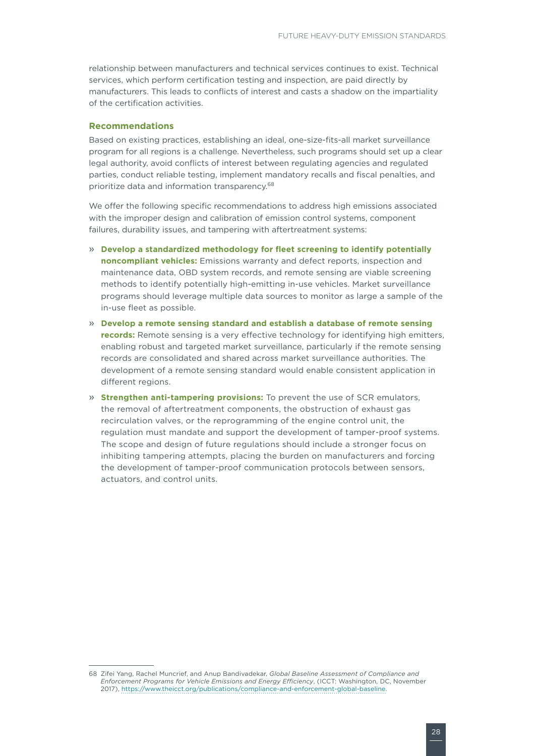relationship between manufacturers and technical services continues to exist. Technical services, which perform certification testing and inspection, are paid directly by manufacturers. This leads to conflicts of interest and casts a shadow on the impartiality of the certification activities.

## **Recommendations**

Based on existing practices, establishing an ideal, one-size-fits-all market surveillance program for all regions is a challenge. Nevertheless, such programs should set up a clear legal authority, avoid conflicts of interest between regulating agencies and regulated parties, conduct reliable testing, implement mandatory recalls and fiscal penalties, and prioritize data and information transparency.68

We offer the following specific recommendations to address high emissions associated with the improper design and calibration of emission control systems, component failures, durability issues, and tampering with aftertreatment systems:

- » **Develop a standardized methodology for fleet screening to identify potentially noncompliant vehicles:** Emissions warranty and defect reports, inspection and maintenance data, OBD system records, and remote sensing are viable screening methods to identify potentially high-emitting in-use vehicles. Market surveillance programs should leverage multiple data sources to monitor as large a sample of the in-use fleet as possible.
- » **Develop a remote sensing standard and establish a database of remote sensing records:** Remote sensing is a very effective technology for identifying high emitters, enabling robust and targeted market surveillance, particularly if the remote sensing records are consolidated and shared across market surveillance authorities. The development of a remote sensing standard would enable consistent application in different regions.
- » **Strengthen anti-tampering provisions:** To prevent the use of SCR emulators, the removal of aftertreatment components, the obstruction of exhaust gas recirculation valves, or the reprogramming of the engine control unit, the regulation must mandate and support the development of tamper-proof systems. The scope and design of future regulations should include a stronger focus on inhibiting tampering attempts, placing the burden on manufacturers and forcing the development of tamper-proof communication protocols between sensors, actuators, and control units.

<sup>68</sup> Zifei Yang, Rachel Muncrief, and Anup Bandivadekar, *Global Baseline Assessment of Compliance and Enforcement Programs for Vehicle Emissions and Energy Efficiency*, (ICCT: Washington, DC, November 2017),<https://www.theicct.org/publications/compliance-and-enforcement-global-baseline>.